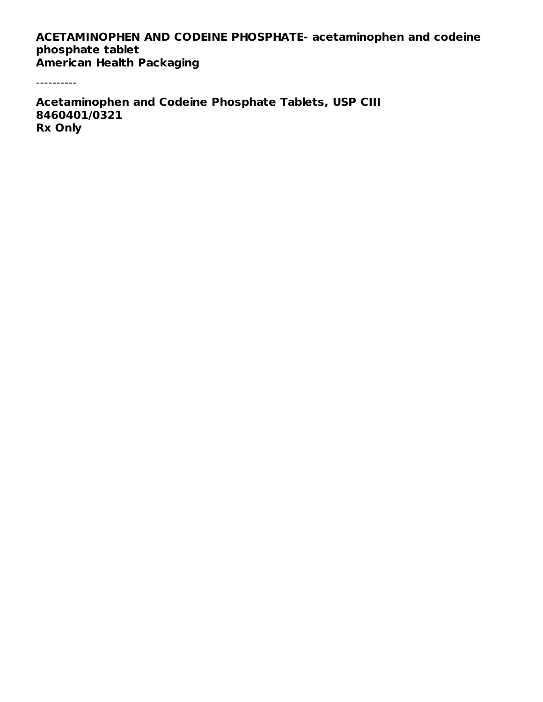#### **ACETAMINOPHEN AND CODEINE PHOSPHATE- acetaminophen and codeine phosphate tablet American Health Packaging**

----------

**Acetaminophen and Codeine Phosphate Tablets, USP CIII 8460401/0321 Rx Only**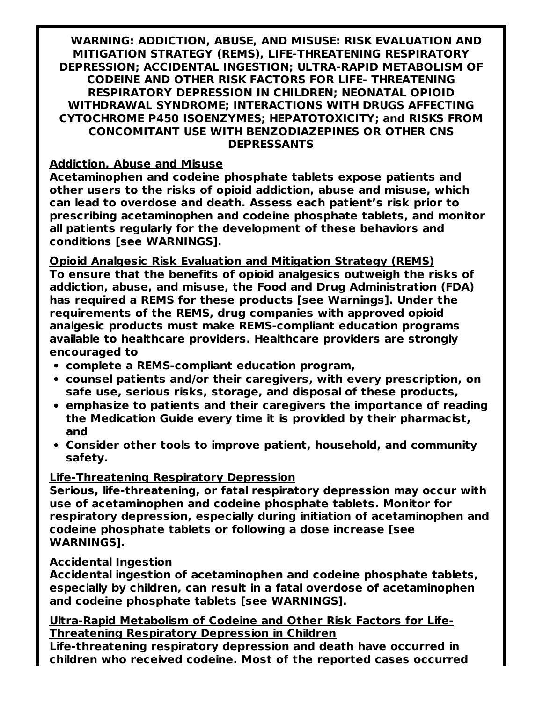**WARNING: ADDICTION, ABUSE, AND MISUSE: RISK EVALUATION AND MITIGATION STRATEGY (REMS), LIFE-THREATENING RESPIRATORY DEPRESSION; ACCIDENTAL INGESTION; ULTRA-RAPID METABOLISM OF CODEINE AND OTHER RISK FACTORS FOR LIFE- THREATENING RESPIRATORY DEPRESSION IN CHILDREN; NEONATAL OPIOID WITHDRAWAL SYNDROME; INTERACTIONS WITH DRUGS AFFECTING CYTOCHROME P450 ISOENZYMES; HEPATOTOXICITY; and RISKS FROM CONCOMITANT USE WITH BENZODIAZEPINES OR OTHER CNS DEPRESSANTS**

#### **Addiction, Abuse and Misuse**

**Acetaminophen and codeine phosphate tablets expose patients and other users to the risks of opioid addiction, abuse and misuse, which can lead to overdose and death. Assess each patient's risk prior to prescribing acetaminophen and codeine phosphate tablets, and monitor all patients regularly for the development of these behaviors and conditions [see WARNINGS].**

**Opioid Analgesic Risk Evaluation and Mitigation Strategy (REMS) To ensure that the benefits of opioid analgesics outweigh the risks of addiction, abuse, and misuse, the Food and Drug Administration (FDA) has required a REMS for these products [see Warnings]. Under the requirements of the REMS, drug companies with approved opioid analgesic products must make REMS-compliant education programs available to healthcare providers. Healthcare providers are strongly encouraged to**

- **complete a REMS-compliant education program,**
- **counsel patients and/or their caregivers, with every prescription, on safe use, serious risks, storage, and disposal of these products,**
- **emphasize to patients and their caregivers the importance of reading the Medication Guide every time it is provided by their pharmacist, and**
- **Consider other tools to improve patient, household, and community safety.**

### **Life-Threatening Respiratory Depression**

**Serious, life-threatening, or fatal respiratory depression may occur with use of acetaminophen and codeine phosphate tablets. Monitor for respiratory depression, especially during initiation of acetaminophen and codeine phosphate tablets or following a dose increase [see WARNINGS].**

### **Accidental Ingestion**

**Accidental ingestion of acetaminophen and codeine phosphate tablets, especially by children, can result in a fatal overdose of acetaminophen and codeine phosphate tablets [see WARNINGS].**

#### **Ultra-Rapid Metabolism of Codeine and Other Risk Factors for Life-Threatening Respiratory Depression in Children**

**Life-threatening respiratory depression and death have occurred in children who received codeine. Most of the reported cases occurred**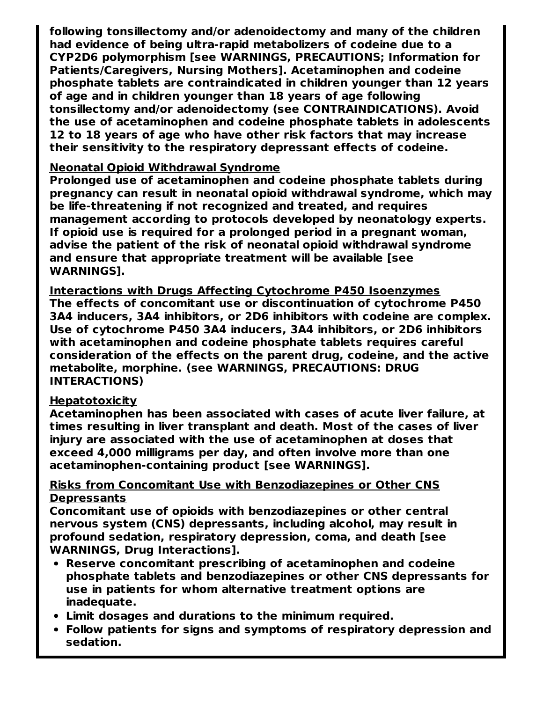**following tonsillectomy and/or adenoidectomy and many of the children had evidence of being ultra-rapid metabolizers of codeine due to a CYP2D6 polymorphism [see WARNINGS, PRECAUTIONS; Information for Patients/Caregivers, Nursing Mothers]. Acetaminophen and codeine phosphate tablets are contraindicated in children younger than 12 years of age and in children younger than 18 years of age following tonsillectomy and/or adenoidectomy (see CONTRAINDICATIONS). Avoid the use of acetaminophen and codeine phosphate tablets in adolescents 12 to 18 years of age who have other risk factors that may increase their sensitivity to the respiratory depressant effects of codeine.**

#### **Neonatal Opioid Withdrawal Syndrome**

**Prolonged use of acetaminophen and codeine phosphate tablets during pregnancy can result in neonatal opioid withdrawal syndrome, which may be life-threatening if not recognized and treated, and requires management according to protocols developed by neonatology experts. If opioid use is required for a prolonged period in a pregnant woman, advise the patient of the risk of neonatal opioid withdrawal syndrome and ensure that appropriate treatment will be available [see WARNINGS].**

**Interactions with Drugs Affecting Cytochrome P450 Isoenzymes The effects of concomitant use or discontinuation of cytochrome P450 3A4 inducers, 3A4 inhibitors, or 2D6 inhibitors with codeine are complex. Use of cytochrome P450 3A4 inducers, 3A4 inhibitors, or 2D6 inhibitors with acetaminophen and codeine phosphate tablets requires careful consideration of the effects on the parent drug, codeine, and the active metabolite, morphine. (see WARNINGS, PRECAUTIONS: DRUG INTERACTIONS)**

### **Hepatotoxicity**

**Acetaminophen has been associated with cases of acute liver failure, at times resulting in liver transplant and death. Most of the cases of liver injury are associated with the use of acetaminophen at doses that exceed 4,000 milligrams per day, and often involve more than one acetaminophen-containing product [see WARNINGS].**

#### **Risks from Concomitant Use with Benzodiazepines or Other CNS Depressants**

**Concomitant use of opioids with benzodiazepines or other central nervous system (CNS) depressants, including alcohol, may result in profound sedation, respiratory depression, coma, and death [see WARNINGS, Drug Interactions].**

- **Reserve concomitant prescribing of acetaminophen and codeine phosphate tablets and benzodiazepines or other CNS depressants for use in patients for whom alternative treatment options are inadequate.**
- **Limit dosages and durations to the minimum required.**
- **Follow patients for signs and symptoms of respiratory depression and sedation.**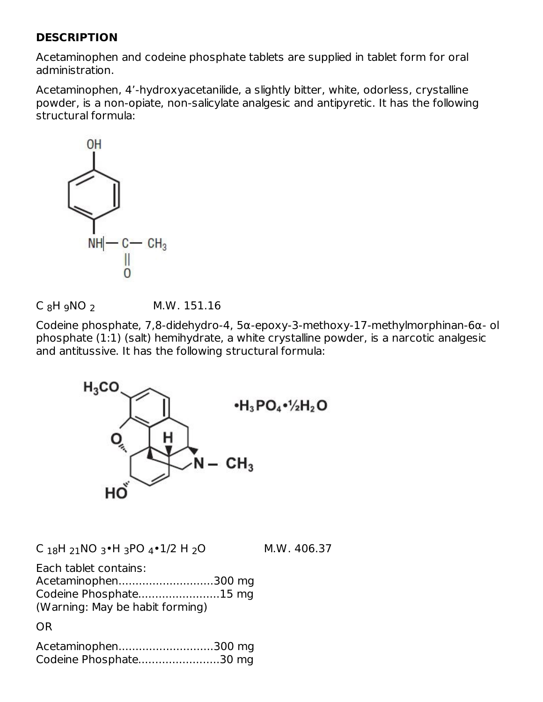### **DESCRIPTION**

Acetaminophen and codeine phosphate tablets are supplied in tablet form for oral administration.

Acetaminophen, 4'-hydroxyacetanilide, a slightly bitter, white, odorless, crystalline powder, is a non-opiate, non-salicylate analgesic and antipyretic. It has the following structural formula:





Codeine phosphate, 7,8-didehydro-4, 5α-epoxy-3-methoxy-17-methylmorphinan-6α- ol phosphate (1:1) (salt) hemihydrate, a white crystalline powder, is a narcotic analgesic and antitussive. It has the following structural formula:



 $C_{18}H_{21}NO_{3} \cdot H_{3}PO_{4} \cdot 1/2 H_{2}O$  M.W. 406.37

Each tablet contains: Acetaminophen............................300 mg Codeine Phosphate........................15 mg

(Warning: May be habit forming)

OR

| Acetaminophen300 mg    |  |
|------------------------|--|
| Codeine Phosphate30 mg |  |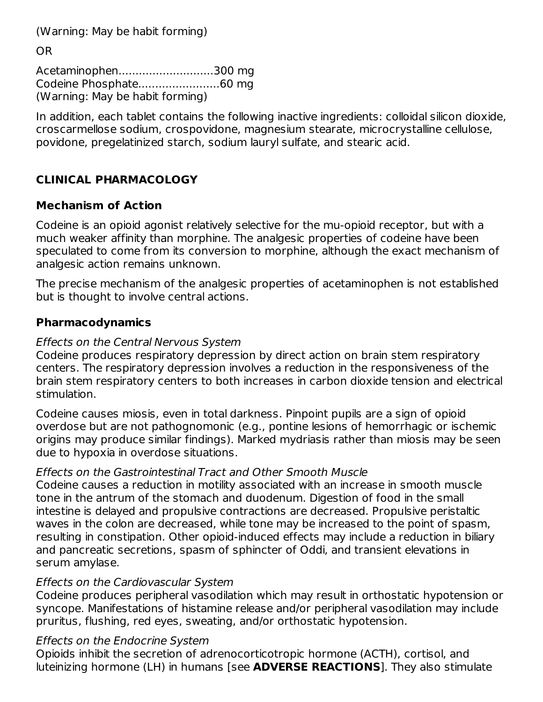(Warning: May be habit forming)

OR

Acetaminophen............................300 mg Codeine Phosphate........................60 mg (Warning: May be habit forming)

In addition, each tablet contains the following inactive ingredients: colloidal silicon dioxide, croscarmellose sodium, crospovidone, magnesium stearate, microcrystalline cellulose, povidone, pregelatinized starch, sodium lauryl sulfate, and stearic acid.

# **CLINICAL PHARMACOLOGY**

## **Mechanism of Action**

Codeine is an opioid agonist relatively selective for the mu-opioid receptor, but with a much weaker affinity than morphine. The analgesic properties of codeine have been speculated to come from its conversion to morphine, although the exact mechanism of analgesic action remains unknown.

The precise mechanism of the analgesic properties of acetaminophen is not established but is thought to involve central actions.

## **Pharmacodynamics**

## Effects on the Central Nervous System

Codeine produces respiratory depression by direct action on brain stem respiratory centers. The respiratory depression involves a reduction in the responsiveness of the brain stem respiratory centers to both increases in carbon dioxide tension and electrical stimulation.

Codeine causes miosis, even in total darkness. Pinpoint pupils are a sign of opioid overdose but are not pathognomonic (e.g., pontine lesions of hemorrhagic or ischemic origins may produce similar findings). Marked mydriasis rather than miosis may be seen due to hypoxia in overdose situations.

## Effects on the Gastrointestinal Tract and Other Smooth Muscle

Codeine causes a reduction in motility associated with an increase in smooth muscle tone in the antrum of the stomach and duodenum. Digestion of food in the small intestine is delayed and propulsive contractions are decreased. Propulsive peristaltic waves in the colon are decreased, while tone may be increased to the point of spasm, resulting in constipation. Other opioid-induced effects may include a reduction in biliary and pancreatic secretions, spasm of sphincter of Oddi, and transient elevations in serum amylase.

## Effects on the Cardiovascular System

Codeine produces peripheral vasodilation which may result in orthostatic hypotension or syncope. Manifestations of histamine release and/or peripheral vasodilation may include pruritus, flushing, red eyes, sweating, and/or orthostatic hypotension.

## Effects on the Endocrine System

Opioids inhibit the secretion of adrenocorticotropic hormone (ACTH), cortisol, and luteinizing hormone (LH) in humans [see **ADVERSE REACTIONS**]. They also stimulate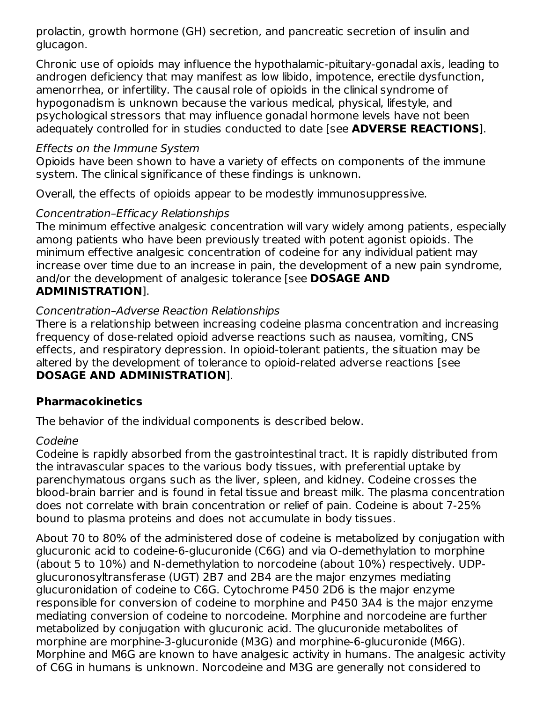prolactin, growth hormone (GH) secretion, and pancreatic secretion of insulin and glucagon.

Chronic use of opioids may influence the hypothalamic-pituitary-gonadal axis, leading to androgen deficiency that may manifest as low libido, impotence, erectile dysfunction, amenorrhea, or infertility. The causal role of opioids in the clinical syndrome of hypogonadism is unknown because the various medical, physical, lifestyle, and psychological stressors that may influence gonadal hormone levels have not been adequately controlled for in studies conducted to date [see **ADVERSE REACTIONS**].

### Effects on the Immune System

Opioids have been shown to have a variety of effects on components of the immune system. The clinical significance of these findings is unknown.

Overall, the effects of opioids appear to be modestly immunosuppressive.

## Concentration–Efficacy Relationships

The minimum effective analgesic concentration will vary widely among patients, especially among patients who have been previously treated with potent agonist opioids. The minimum effective analgesic concentration of codeine for any individual patient may increase over time due to an increase in pain, the development of a new pain syndrome, and/or the development of analgesic tolerance [see **DOSAGE AND ADMINISTRATION**].

### Concentration–Adverse Reaction Relationships

There is a relationship between increasing codeine plasma concentration and increasing frequency of dose-related opioid adverse reactions such as nausea, vomiting, CNS effects, and respiratory depression. In opioid-tolerant patients, the situation may be altered by the development of tolerance to opioid-related adverse reactions [see **DOSAGE AND ADMINISTRATION**].

## **Pharmacokinetics**

The behavior of the individual components is described below.

### Codeine

Codeine is rapidly absorbed from the gastrointestinal tract. It is rapidly distributed from the intravascular spaces to the various body tissues, with preferential uptake by parenchymatous organs such as the liver, spleen, and kidney. Codeine crosses the blood-brain barrier and is found in fetal tissue and breast milk. The plasma concentration does not correlate with brain concentration or relief of pain. Codeine is about 7-25% bound to plasma proteins and does not accumulate in body tissues.

About 70 to 80% of the administered dose of codeine is metabolized by conjugation with glucuronic acid to codeine-6-glucuronide (C6G) and via O-demethylation to morphine (about 5 to 10%) and N-demethylation to norcodeine (about 10%) respectively. UDPglucuronosyltransferase (UGT) 2B7 and 2B4 are the major enzymes mediating glucuronidation of codeine to C6G. Cytochrome P450 2D6 is the major enzyme responsible for conversion of codeine to morphine and P450 3A4 is the major enzyme mediating conversion of codeine to norcodeine. Morphine and norcodeine are further metabolized by conjugation with glucuronic acid. The glucuronide metabolites of morphine are morphine-3-glucuronide (M3G) and morphine-6-glucuronide (M6G). Morphine and M6G are known to have analgesic activity in humans. The analgesic activity of C6G in humans is unknown. Norcodeine and M3G are generally not considered to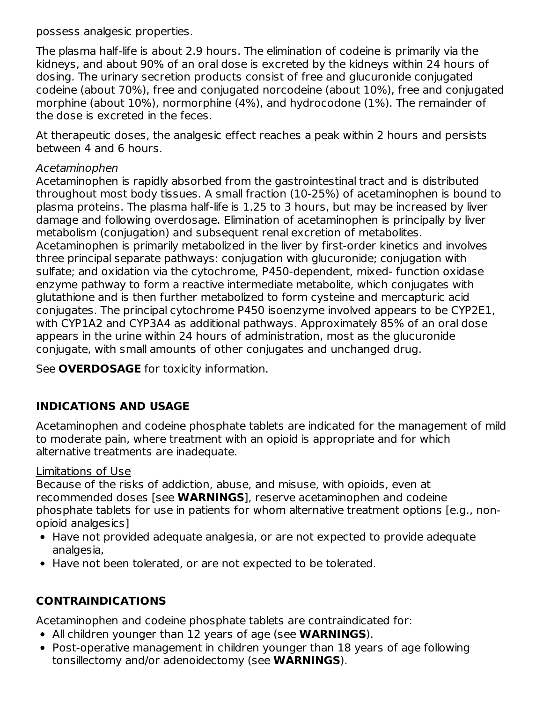possess analgesic properties.

The plasma half-life is about 2.9 hours. The elimination of codeine is primarily via the kidneys, and about 90% of an oral dose is excreted by the kidneys within 24 hours of dosing. The urinary secretion products consist of free and glucuronide conjugated codeine (about 70%), free and conjugated norcodeine (about 10%), free and conjugated morphine (about 10%), normorphine (4%), and hydrocodone (1%). The remainder of the dose is excreted in the feces.

At therapeutic doses, the analgesic effect reaches a peak within 2 hours and persists between 4 and 6 hours.

### Acetaminophen

Acetaminophen is rapidly absorbed from the gastrointestinal tract and is distributed throughout most body tissues. A small fraction (10-25%) of acetaminophen is bound to plasma proteins. The plasma half-life is 1.25 to 3 hours, but may be increased by liver damage and following overdosage. Elimination of acetaminophen is principally by liver metabolism (conjugation) and subsequent renal excretion of metabolites. Acetaminophen is primarily metabolized in the liver by first-order kinetics and involves three principal separate pathways: conjugation with glucuronide; conjugation with sulfate; and oxidation via the cytochrome, P450-dependent, mixed- function oxidase enzyme pathway to form a reactive intermediate metabolite, which conjugates with glutathione and is then further metabolized to form cysteine and mercapturic acid conjugates. The principal cytochrome P450 isoenzyme involved appears to be CYP2E1, with CYP1A2 and CYP3A4 as additional pathways. Approximately 85% of an oral dose appears in the urine within 24 hours of administration, most as the glucuronide conjugate, with small amounts of other conjugates and unchanged drug.

See **OVERDOSAGE** for toxicity information.

# **INDICATIONS AND USAGE**

Acetaminophen and codeine phosphate tablets are indicated for the management of mild to moderate pain, where treatment with an opioid is appropriate and for which alternative treatments are inadequate.

## Limitations of Use

Because of the risks of addiction, abuse, and misuse, with opioids, even at recommended doses [see **WARNINGS**], reserve acetaminophen and codeine phosphate tablets for use in patients for whom alternative treatment options [e.g., nonopioid analgesics]

- Have not provided adequate analgesia, or are not expected to provide adequate analgesia,
- Have not been tolerated, or are not expected to be tolerated.

# **CONTRAINDICATIONS**

Acetaminophen and codeine phosphate tablets are contraindicated for:

- All children younger than 12 years of age (see **WARNINGS**).
- Post-operative management in children younger than 18 years of age following tonsillectomy and/or adenoidectomy (see **WARNINGS**).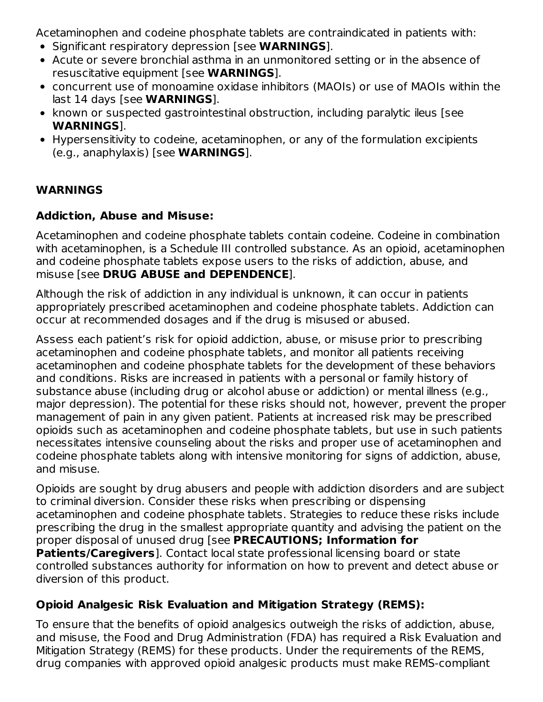Acetaminophen and codeine phosphate tablets are contraindicated in patients with:

- Significant respiratory depression [see **WARNINGS**].
- Acute or severe bronchial asthma in an unmonitored setting or in the absence of resuscitative equipment [see **WARNINGS**].
- concurrent use of monoamine oxidase inhibitors (MAOIs) or use of MAOIs within the last 14 days [see **WARNINGS**].
- known or suspected gastrointestinal obstruction, including paralytic ileus [see **WARNINGS**].
- Hypersensitivity to codeine, acetaminophen, or any of the formulation excipients (e.g., anaphylaxis) [see **WARNINGS**].

## **WARNINGS**

### **Addiction, Abuse and Misuse:**

Acetaminophen and codeine phosphate tablets contain codeine. Codeine in combination with acetaminophen, is a Schedule III controlled substance. As an opioid, acetaminophen and codeine phosphate tablets expose users to the risks of addiction, abuse, and misuse [see **DRUG ABUSE and DEPENDENCE**].

Although the risk of addiction in any individual is unknown, it can occur in patients appropriately prescribed acetaminophen and codeine phosphate tablets. Addiction can occur at recommended dosages and if the drug is misused or abused.

Assess each patient's risk for opioid addiction, abuse, or misuse prior to prescribing acetaminophen and codeine phosphate tablets, and monitor all patients receiving acetaminophen and codeine phosphate tablets for the development of these behaviors and conditions. Risks are increased in patients with a personal or family history of substance abuse (including drug or alcohol abuse or addiction) or mental illness (e.g., major depression). The potential for these risks should not, however, prevent the proper management of pain in any given patient. Patients at increased risk may be prescribed opioids such as acetaminophen and codeine phosphate tablets, but use in such patients necessitates intensive counseling about the risks and proper use of acetaminophen and codeine phosphate tablets along with intensive monitoring for signs of addiction, abuse, and misuse.

Opioids are sought by drug abusers and people with addiction disorders and are subject to criminal diversion. Consider these risks when prescribing or dispensing acetaminophen and codeine phosphate tablets. Strategies to reduce these risks include prescribing the drug in the smallest appropriate quantity and advising the patient on the proper disposal of unused drug [see **PRECAUTIONS; Information for Patients/Caregivers**]. Contact local state professional licensing board or state controlled substances authority for information on how to prevent and detect abuse or diversion of this product.

## **Opioid Analgesic Risk Evaluation and Mitigation Strategy (REMS):**

To ensure that the benefits of opioid analgesics outweigh the risks of addiction, abuse, and misuse, the Food and Drug Administration (FDA) has required a Risk Evaluation and Mitigation Strategy (REMS) for these products. Under the requirements of the REMS, drug companies with approved opioid analgesic products must make REMS-compliant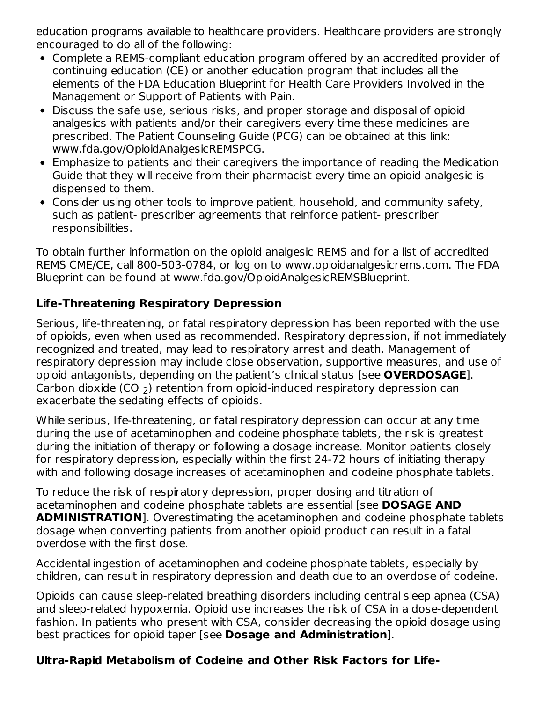education programs available to healthcare providers. Healthcare providers are strongly encouraged to do all of the following:

- Complete a REMS-compliant education program offered by an accredited provider of continuing education (CE) or another education program that includes all the elements of the FDA Education Blueprint for Health Care Providers Involved in the Management or Support of Patients with Pain.
- Discuss the safe use, serious risks, and proper storage and disposal of opioid analgesics with patients and/or their caregivers every time these medicines are prescribed. The Patient Counseling Guide (PCG) can be obtained at this link: www.fda.gov/OpioidAnalgesicREMSPCG.
- Emphasize to patients and their caregivers the importance of reading the Medication Guide that they will receive from their pharmacist every time an opioid analgesic is dispensed to them.
- Consider using other tools to improve patient, household, and community safety, such as patient- prescriber agreements that reinforce patient- prescriber responsibilities.

To obtain further information on the opioid analgesic REMS and for a list of accredited REMS CME/CE, call 800-503-0784, or log on to www.opioidanalgesicrems.com. The FDA Blueprint can be found at www.fda.gov/OpioidAnalgesicREMSBlueprint.

## **Life-Threatening Respiratory Depression**

Serious, life-threatening, or fatal respiratory depression has been reported with the use of opioids, even when used as recommended. Respiratory depression, if not immediately recognized and treated, may lead to respiratory arrest and death. Management of respiratory depression may include close observation, supportive measures, and use of opioid antagonists, depending on the patient's clinical status [see **OVERDOSAGE**]. Carbon dioxide (CO  $_2$ ) retention from opioid-induced respiratory depression can exacerbate the sedating effects of opioids.

While serious, life-threatening, or fatal respiratory depression can occur at any time during the use of acetaminophen and codeine phosphate tablets, the risk is greatest during the initiation of therapy or following a dosage increase. Monitor patients closely for respiratory depression, especially within the first 24-72 hours of initiating therapy with and following dosage increases of acetaminophen and codeine phosphate tablets.

To reduce the risk of respiratory depression, proper dosing and titration of acetaminophen and codeine phosphate tablets are essential [see **DOSAGE AND ADMINISTRATION**]. Overestimating the acetaminophen and codeine phosphate tablets dosage when converting patients from another opioid product can result in a fatal overdose with the first dose.

Accidental ingestion of acetaminophen and codeine phosphate tablets, especially by children, can result in respiratory depression and death due to an overdose of codeine.

Opioids can cause sleep-related breathing disorders including central sleep apnea (CSA) and sleep-related hypoxemia. Opioid use increases the risk of CSA in a dose-dependent fashion. In patients who present with CSA, consider decreasing the opioid dosage using best practices for opioid taper [see **Dosage and Administration**].

## **Ultra-Rapid Metabolism of Codeine and Other Risk Factors for Life-**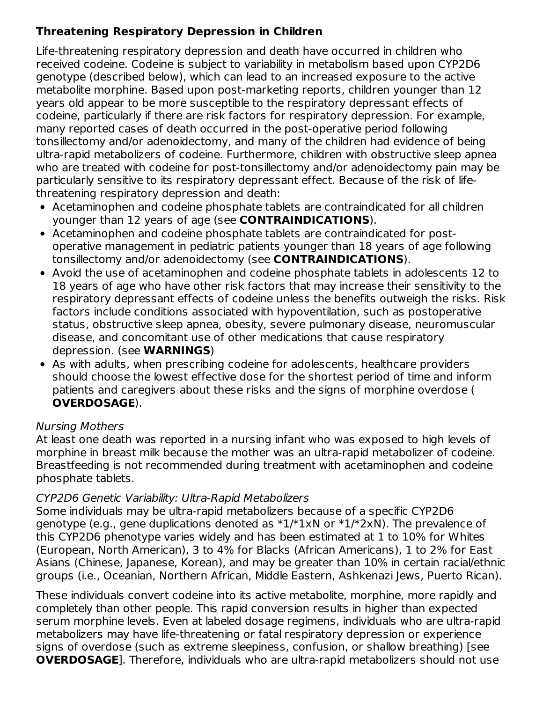# **Threatening Respiratory Depression in Children**

Life-threatening respiratory depression and death have occurred in children who received codeine. Codeine is subject to variability in metabolism based upon CYP2D6 genotype (described below), which can lead to an increased exposure to the active metabolite morphine. Based upon post-marketing reports, children younger than 12 years old appear to be more susceptible to the respiratory depressant effects of codeine, particularly if there are risk factors for respiratory depression. For example, many reported cases of death occurred in the post-operative period following tonsillectomy and/or adenoidectomy, and many of the children had evidence of being ultra-rapid metabolizers of codeine. Furthermore, children with obstructive sleep apnea who are treated with codeine for post-tonsillectomy and/or adenoidectomy pain may be particularly sensitive to its respiratory depressant effect. Because of the risk of lifethreatening respiratory depression and death:

- Acetaminophen and codeine phosphate tablets are contraindicated for all children younger than 12 years of age (see **CONTRAINDICATIONS**).
- Acetaminophen and codeine phosphate tablets are contraindicated for postoperative management in pediatric patients younger than 18 years of age following tonsillectomy and/or adenoidectomy (see **CONTRAINDICATIONS**).
- Avoid the use of acetaminophen and codeine phosphate tablets in adolescents 12 to 18 years of age who have other risk factors that may increase their sensitivity to the respiratory depressant effects of codeine unless the benefits outweigh the risks. Risk factors include conditions associated with hypoventilation, such as postoperative status, obstructive sleep apnea, obesity, severe pulmonary disease, neuromuscular disease, and concomitant use of other medications that cause respiratory depression. (see **WARNINGS**)
- As with adults, when prescribing codeine for adolescents, healthcare providers should choose the lowest effective dose for the shortest period of time and inform patients and caregivers about these risks and the signs of morphine overdose ( **OVERDOSAGE**).

## Nursing Mothers

At least one death was reported in a nursing infant who was exposed to high levels of morphine in breast milk because the mother was an ultra-rapid metabolizer of codeine. Breastfeeding is not recommended during treatment with acetaminophen and codeine phosphate tablets.

## CYP2D6 Genetic Variability: Ultra-Rapid Metabolizers

Some individuals may be ultra-rapid metabolizers because of a specific CYP2D6 genotype (e.g., gene duplications denoted as  $*1/*1xN$  or  $*1/*2xN$ ). The prevalence of this CYP2D6 phenotype varies widely and has been estimated at 1 to 10% for Whites (European, North American), 3 to 4% for Blacks (African Americans), 1 to 2% for East Asians (Chinese, Japanese, Korean), and may be greater than 10% in certain racial/ethnic groups (i.e., Oceanian, Northern African, Middle Eastern, Ashkenazi Jews, Puerto Rican).

These individuals convert codeine into its active metabolite, morphine, more rapidly and completely than other people. This rapid conversion results in higher than expected serum morphine levels. Even at labeled dosage regimens, individuals who are ultra-rapid metabolizers may have life-threatening or fatal respiratory depression or experience signs of overdose (such as extreme sleepiness, confusion, or shallow breathing) [see **OVERDOSAGE**]. Therefore, individuals who are ultra-rapid metabolizers should not use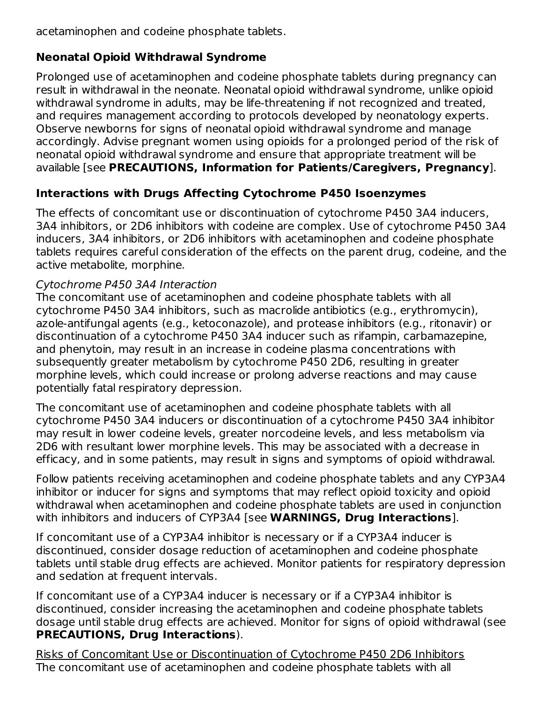acetaminophen and codeine phosphate tablets.

# **Neonatal Opioid Withdrawal Syndrome**

Prolonged use of acetaminophen and codeine phosphate tablets during pregnancy can result in withdrawal in the neonate. Neonatal opioid withdrawal syndrome, unlike opioid withdrawal syndrome in adults, may be life-threatening if not recognized and treated, and requires management according to protocols developed by neonatology experts. Observe newborns for signs of neonatal opioid withdrawal syndrome and manage accordingly. Advise pregnant women using opioids for a prolonged period of the risk of neonatal opioid withdrawal syndrome and ensure that appropriate treatment will be available [see **PRECAUTIONS, Information for Patients/Caregivers, Pregnancy**].

# **Interactions with Drugs Affecting Cytochrome P450 Isoenzymes**

The effects of concomitant use or discontinuation of cytochrome P450 3A4 inducers, 3A4 inhibitors, or 2D6 inhibitors with codeine are complex. Use of cytochrome P450 3A4 inducers, 3A4 inhibitors, or 2D6 inhibitors with acetaminophen and codeine phosphate tablets requires careful consideration of the effects on the parent drug, codeine, and the active metabolite, morphine.

# Cytochrome P450 3A4 Interaction

The concomitant use of acetaminophen and codeine phosphate tablets with all cytochrome P450 3A4 inhibitors, such as macrolide antibiotics (e.g., erythromycin), azole-antifungal agents (e.g., ketoconazole), and protease inhibitors (e.g., ritonavir) or discontinuation of a cytochrome P450 3A4 inducer such as rifampin, carbamazepine, and phenytoin, may result in an increase in codeine plasma concentrations with subsequently greater metabolism by cytochrome P450 2D6, resulting in greater morphine levels, which could increase or prolong adverse reactions and may cause potentially fatal respiratory depression.

The concomitant use of acetaminophen and codeine phosphate tablets with all cytochrome P450 3A4 inducers or discontinuation of a cytochrome P450 3A4 inhibitor may result in lower codeine levels, greater norcodeine levels, and less metabolism via 2D6 with resultant lower morphine levels. This may be associated with a decrease in efficacy, and in some patients, may result in signs and symptoms of opioid withdrawal.

Follow patients receiving acetaminophen and codeine phosphate tablets and any CYP3A4 inhibitor or inducer for signs and symptoms that may reflect opioid toxicity and opioid withdrawal when acetaminophen and codeine phosphate tablets are used in conjunction with inhibitors and inducers of CYP3A4 [see **WARNINGS, Drug Interactions**].

If concomitant use of a CYP3A4 inhibitor is necessary or if a CYP3A4 inducer is discontinued, consider dosage reduction of acetaminophen and codeine phosphate tablets until stable drug effects are achieved. Monitor patients for respiratory depression and sedation at frequent intervals.

If concomitant use of a CYP3A4 inducer is necessary or if a CYP3A4 inhibitor is discontinued, consider increasing the acetaminophen and codeine phosphate tablets dosage until stable drug effects are achieved. Monitor for signs of opioid withdrawal (see **PRECAUTIONS, Drug Interactions**).

Risks of Concomitant Use or Discontinuation of Cytochrome P450 2D6 Inhibitors The concomitant use of acetaminophen and codeine phosphate tablets with all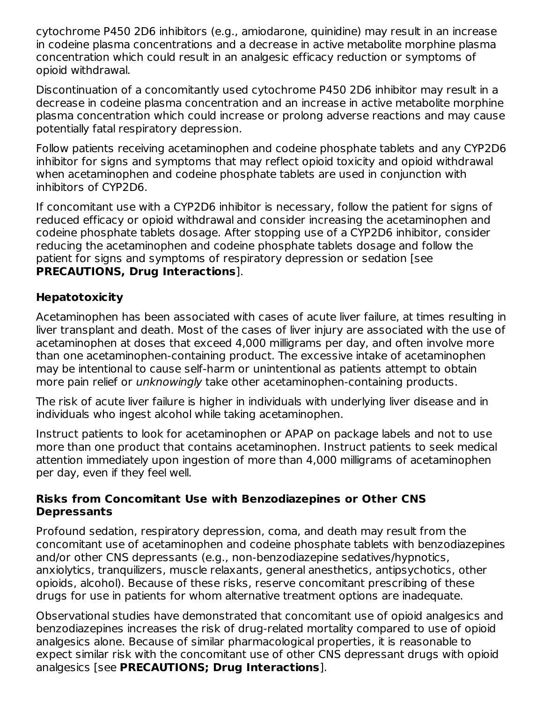cytochrome P450 2D6 inhibitors (e.g., amiodarone, quinidine) may result in an increase in codeine plasma concentrations and a decrease in active metabolite morphine plasma concentration which could result in an analgesic efficacy reduction or symptoms of opioid withdrawal.

Discontinuation of a concomitantly used cytochrome P450 2D6 inhibitor may result in a decrease in codeine plasma concentration and an increase in active metabolite morphine plasma concentration which could increase or prolong adverse reactions and may cause potentially fatal respiratory depression.

Follow patients receiving acetaminophen and codeine phosphate tablets and any CYP2D6 inhibitor for signs and symptoms that may reflect opioid toxicity and opioid withdrawal when acetaminophen and codeine phosphate tablets are used in conjunction with inhibitors of CYP2D6.

If concomitant use with a CYP2D6 inhibitor is necessary, follow the patient for signs of reduced efficacy or opioid withdrawal and consider increasing the acetaminophen and codeine phosphate tablets dosage. After stopping use of a CYP2D6 inhibitor, consider reducing the acetaminophen and codeine phosphate tablets dosage and follow the patient for signs and symptoms of respiratory depression or sedation [see **PRECAUTIONS, Drug Interactions**].

## **Hepatotoxicity**

Acetaminophen has been associated with cases of acute liver failure, at times resulting in liver transplant and death. Most of the cases of liver injury are associated with the use of acetaminophen at doses that exceed 4,000 milligrams per day, and often involve more than one acetaminophen-containing product. The excessive intake of acetaminophen may be intentional to cause self-harm or unintentional as patients attempt to obtain more pain relief or *unknowingly* take other acetaminophen-containing products.

The risk of acute liver failure is higher in individuals with underlying liver disease and in individuals who ingest alcohol while taking acetaminophen.

Instruct patients to look for acetaminophen or APAP on package labels and not to use more than one product that contains acetaminophen. Instruct patients to seek medical attention immediately upon ingestion of more than 4,000 milligrams of acetaminophen per day, even if they feel well.

### **Risks from Concomitant Use with Benzodiazepines or Other CNS Depressants**

Profound sedation, respiratory depression, coma, and death may result from the concomitant use of acetaminophen and codeine phosphate tablets with benzodiazepines and/or other CNS depressants (e.g., non-benzodiazepine sedatives/hypnotics, anxiolytics, tranquilizers, muscle relaxants, general anesthetics, antipsychotics, other opioids, alcohol). Because of these risks, reserve concomitant prescribing of these drugs for use in patients for whom alternative treatment options are inadequate.

Observational studies have demonstrated that concomitant use of opioid analgesics and benzodiazepines increases the risk of drug-related mortality compared to use of opioid analgesics alone. Because of similar pharmacological properties, it is reasonable to expect similar risk with the concomitant use of other CNS depressant drugs with opioid analgesics [see **PRECAUTIONS; Drug Interactions**].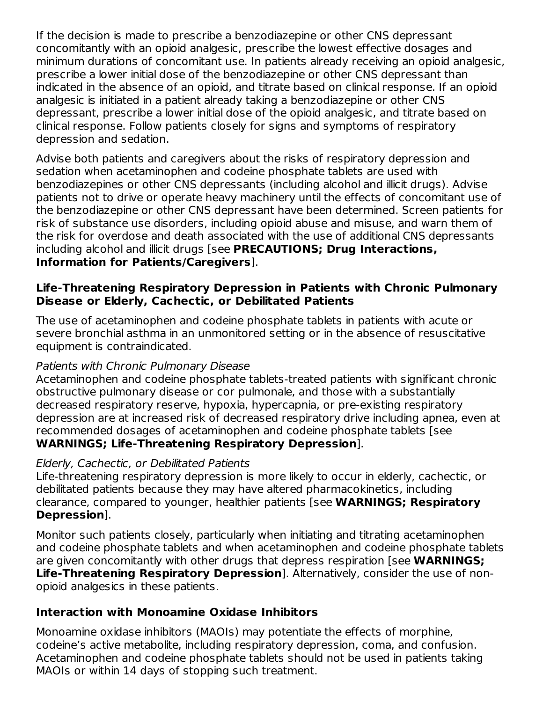If the decision is made to prescribe a benzodiazepine or other CNS depressant concomitantly with an opioid analgesic, prescribe the lowest effective dosages and minimum durations of concomitant use. In patients already receiving an opioid analgesic, prescribe a lower initial dose of the benzodiazepine or other CNS depressant than indicated in the absence of an opioid, and titrate based on clinical response. If an opioid analgesic is initiated in a patient already taking a benzodiazepine or other CNS depressant, prescribe a lower initial dose of the opioid analgesic, and titrate based on clinical response. Follow patients closely for signs and symptoms of respiratory depression and sedation.

Advise both patients and caregivers about the risks of respiratory depression and sedation when acetaminophen and codeine phosphate tablets are used with benzodiazepines or other CNS depressants (including alcohol and illicit drugs). Advise patients not to drive or operate heavy machinery until the effects of concomitant use of the benzodiazepine or other CNS depressant have been determined. Screen patients for risk of substance use disorders, including opioid abuse and misuse, and warn them of the risk for overdose and death associated with the use of additional CNS depressants including alcohol and illicit drugs [see **PRECAUTIONS; Drug Interactions, Information for Patients/Caregivers**].

### **Life-Threatening Respiratory Depression in Patients with Chronic Pulmonary Disease or Elderly, Cachectic, or Debilitated Patients**

The use of acetaminophen and codeine phosphate tablets in patients with acute or severe bronchial asthma in an unmonitored setting or in the absence of resuscitative equipment is contraindicated.

### Patients with Chronic Pulmonary Disease

Acetaminophen and codeine phosphate tablets-treated patients with significant chronic obstructive pulmonary disease or cor pulmonale, and those with a substantially decreased respiratory reserve, hypoxia, hypercapnia, or pre-existing respiratory depression are at increased risk of decreased respiratory drive including apnea, even at recommended dosages of acetaminophen and codeine phosphate tablets [see **WARNINGS; Life-Threatening Respiratory Depression**].

### Elderly, Cachectic, or Debilitated Patients

Life-threatening respiratory depression is more likely to occur in elderly, cachectic, or debilitated patients because they may have altered pharmacokinetics, including clearance, compared to younger, healthier patients [see **WARNINGS; Respiratory Depression**].

Monitor such patients closely, particularly when initiating and titrating acetaminophen and codeine phosphate tablets and when acetaminophen and codeine phosphate tablets are given concomitantly with other drugs that depress respiration [see **WARNINGS; Life-Threatening Respiratory Depression**]. Alternatively, consider the use of nonopioid analgesics in these patients.

### **Interaction with Monoamine Oxidase Inhibitors**

Monoamine oxidase inhibitors (MAOIs) may potentiate the effects of morphine, codeine's active metabolite, including respiratory depression, coma, and confusion. Acetaminophen and codeine phosphate tablets should not be used in patients taking MAOIs or within 14 days of stopping such treatment.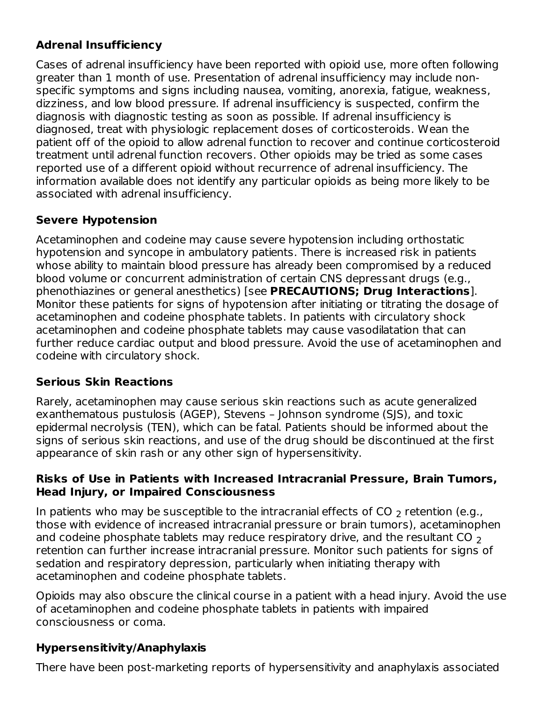# **Adrenal Insufficiency**

Cases of adrenal insufficiency have been reported with opioid use, more often following greater than 1 month of use. Presentation of adrenal insufficiency may include nonspecific symptoms and signs including nausea, vomiting, anorexia, fatigue, weakness, dizziness, and low blood pressure. If adrenal insufficiency is suspected, confirm the diagnosis with diagnostic testing as soon as possible. If adrenal insufficiency is diagnosed, treat with physiologic replacement doses of corticosteroids. Wean the patient off of the opioid to allow adrenal function to recover and continue corticosteroid treatment until adrenal function recovers. Other opioids may be tried as some cases reported use of a different opioid without recurrence of adrenal insufficiency. The information available does not identify any particular opioids as being more likely to be associated with adrenal insufficiency.

## **Severe Hypotension**

Acetaminophen and codeine may cause severe hypotension including orthostatic hypotension and syncope in ambulatory patients. There is increased risk in patients whose ability to maintain blood pressure has already been compromised by a reduced blood volume or concurrent administration of certain CNS depressant drugs (e.g., phenothiazines or general anesthetics) [see **PRECAUTIONS; Drug Interactions**]. Monitor these patients for signs of hypotension after initiating or titrating the dosage of acetaminophen and codeine phosphate tablets. In patients with circulatory shock acetaminophen and codeine phosphate tablets may cause vasodilatation that can further reduce cardiac output and blood pressure. Avoid the use of acetaminophen and codeine with circulatory shock.

## **Serious Skin Reactions**

Rarely, acetaminophen may cause serious skin reactions such as acute generalized exanthematous pustulosis (AGEP), Stevens – Johnson syndrome (SJS), and toxic epidermal necrolysis (TEN), which can be fatal. Patients should be informed about the signs of serious skin reactions, and use of the drug should be discontinued at the first appearance of skin rash or any other sign of hypersensitivity.

### **Risks of Use in Patients with Increased Intracranial Pressure, Brain Tumors, Head Injury, or Impaired Consciousness**

In patients who may be susceptible to the intracranial effects of CO  $_{\rm 2}$  retention (e.g., those with evidence of increased intracranial pressure or brain tumors), acetaminophen and codeine phosphate tablets may reduce respiratory drive, and the resultant CO  $_{\rm 2}$ retention can further increase intracranial pressure. Monitor such patients for signs of sedation and respiratory depression, particularly when initiating therapy with acetaminophen and codeine phosphate tablets.

Opioids may also obscure the clinical course in a patient with a head injury. Avoid the use of acetaminophen and codeine phosphate tablets in patients with impaired consciousness or coma.

# **Hypersensitivity/Anaphylaxis**

There have been post-marketing reports of hypersensitivity and anaphylaxis associated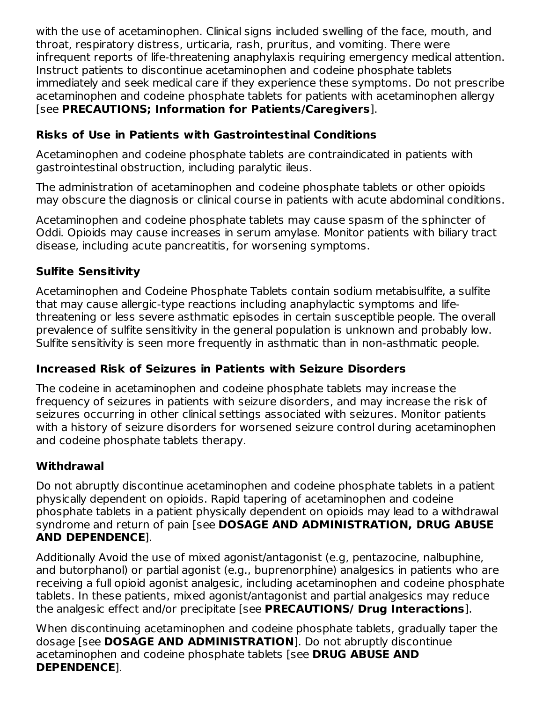with the use of acetaminophen. Clinical signs included swelling of the face, mouth, and throat, respiratory distress, urticaria, rash, pruritus, and vomiting. There were infrequent reports of life-threatening anaphylaxis requiring emergency medical attention. Instruct patients to discontinue acetaminophen and codeine phosphate tablets immediately and seek medical care if they experience these symptoms. Do not prescribe acetaminophen and codeine phosphate tablets for patients with acetaminophen allergy [see **PRECAUTIONS; Information for Patients/Caregivers**].

## **Risks of Use in Patients with Gastrointestinal Conditions**

Acetaminophen and codeine phosphate tablets are contraindicated in patients with gastrointestinal obstruction, including paralytic ileus.

The administration of acetaminophen and codeine phosphate tablets or other opioids may obscure the diagnosis or clinical course in patients with acute abdominal conditions.

Acetaminophen and codeine phosphate tablets may cause spasm of the sphincter of Oddi. Opioids may cause increases in serum amylase. Monitor patients with biliary tract disease, including acute pancreatitis, for worsening symptoms.

## **Sulfite Sensitivity**

Acetaminophen and Codeine Phosphate Tablets contain sodium metabisulfite, a sulfite that may cause allergic-type reactions including anaphylactic symptoms and lifethreatening or less severe asthmatic episodes in certain susceptible people. The overall prevalence of sulfite sensitivity in the general population is unknown and probably low. Sulfite sensitivity is seen more frequently in asthmatic than in non-asthmatic people.

# **Increased Risk of Seizures in Patients with Seizure Disorders**

The codeine in acetaminophen and codeine phosphate tablets may increase the frequency of seizures in patients with seizure disorders, and may increase the risk of seizures occurring in other clinical settings associated with seizures. Monitor patients with a history of seizure disorders for worsened seizure control during acetaminophen and codeine phosphate tablets therapy.

## **Withdrawal**

Do not abruptly discontinue acetaminophen and codeine phosphate tablets in a patient physically dependent on opioids. Rapid tapering of acetaminophen and codeine phosphate tablets in a patient physically dependent on opioids may lead to a withdrawal syndrome and return of pain [see **DOSAGE AND ADMINISTRATION, DRUG ABUSE AND DEPENDENCE**].

Additionally Avoid the use of mixed agonist/antagonist (e.g, pentazocine, nalbuphine, and butorphanol) or partial agonist (e.g., buprenorphine) analgesics in patients who are receiving a full opioid agonist analgesic, including acetaminophen and codeine phosphate tablets. In these patients, mixed agonist/antagonist and partial analgesics may reduce the analgesic effect and/or precipitate [see **PRECAUTIONS/ Drug Interactions**].

When discontinuing acetaminophen and codeine phosphate tablets, gradually taper the dosage [see **DOSAGE AND ADMINISTRATION**]. Do not abruptly discontinue acetaminophen and codeine phosphate tablets [see **DRUG ABUSE AND DEPENDENCE**].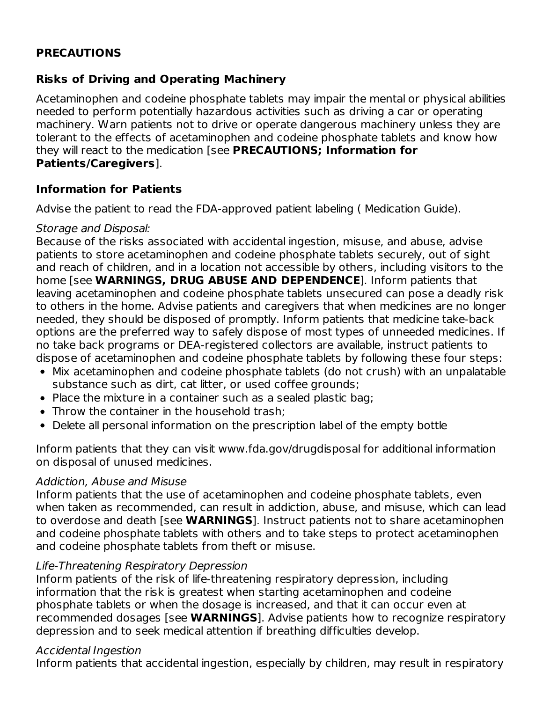### **PRECAUTIONS**

### **Risks of Driving and Operating Machinery**

Acetaminophen and codeine phosphate tablets may impair the mental or physical abilities needed to perform potentially hazardous activities such as driving a car or operating machinery. Warn patients not to drive or operate dangerous machinery unless they are tolerant to the effects of acetaminophen and codeine phosphate tablets and know how they will react to the medication [see **PRECAUTIONS; Information for Patients/Caregivers**].

#### **Information for Patients**

Advise the patient to read the FDA-approved patient labeling ( Medication Guide).

#### Storage and Disposal:

Because of the risks associated with accidental ingestion, misuse, and abuse, advise patients to store acetaminophen and codeine phosphate tablets securely, out of sight and reach of children, and in a location not accessible by others, including visitors to the home [see **WARNINGS, DRUG ABUSE AND DEPENDENCE**]. Inform patients that leaving acetaminophen and codeine phosphate tablets unsecured can pose a deadly risk to others in the home. Advise patients and caregivers that when medicines are no longer needed, they should be disposed of promptly. Inform patients that medicine take-back options are the preferred way to safely dispose of most types of unneeded medicines. If no take back programs or DEA-registered collectors are available, instruct patients to dispose of acetaminophen and codeine phosphate tablets by following these four steps:

- Mix acetaminophen and codeine phosphate tablets (do not crush) with an unpalatable substance such as dirt, cat litter, or used coffee grounds;
- Place the mixture in a container such as a sealed plastic bag;
- Throw the container in the household trash:
- Delete all personal information on the prescription label of the empty bottle

Inform patients that they can visit www.fda.gov/drugdisposal for additional information on disposal of unused medicines.

### Addiction, Abuse and Misuse

Inform patients that the use of acetaminophen and codeine phosphate tablets, even when taken as recommended, can result in addiction, abuse, and misuse, which can lead to overdose and death [see **WARNINGS**]. Instruct patients not to share acetaminophen and codeine phosphate tablets with others and to take steps to protect acetaminophen and codeine phosphate tablets from theft or misuse.

### Life-Threatening Respiratory Depression

Inform patients of the risk of life-threatening respiratory depression, including information that the risk is greatest when starting acetaminophen and codeine phosphate tablets or when the dosage is increased, and that it can occur even at recommended dosages [see **WARNINGS**]. Advise patients how to recognize respiratory depression and to seek medical attention if breathing difficulties develop.

#### Accidental Ingestion

Inform patients that accidental ingestion, especially by children, may result in respiratory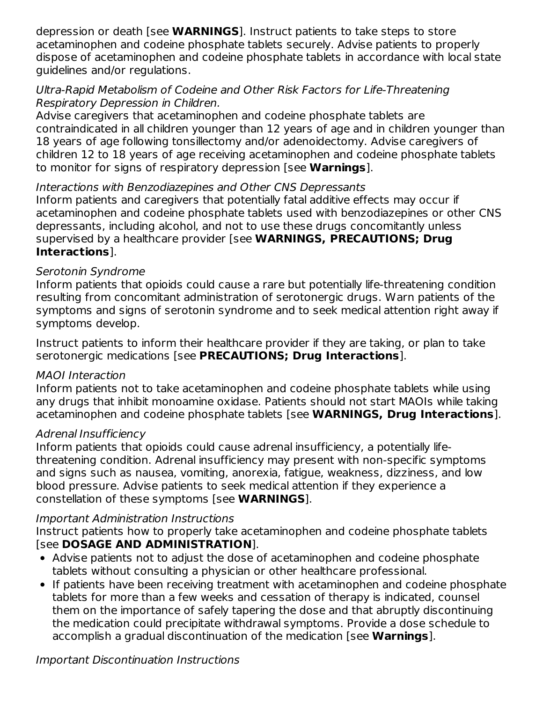depression or death [see **WARNINGS**]. Instruct patients to take steps to store acetaminophen and codeine phosphate tablets securely. Advise patients to properly dispose of acetaminophen and codeine phosphate tablets in accordance with local state guidelines and/or regulations.

### Ultra-Rapid Metabolism of Codeine and Other Risk Factors for Life-Threatening Respiratory Depression in Children.

Advise caregivers that acetaminophen and codeine phosphate tablets are contraindicated in all children younger than 12 years of age and in children younger than 18 years of age following tonsillectomy and/or adenoidectomy. Advise caregivers of children 12 to 18 years of age receiving acetaminophen and codeine phosphate tablets to monitor for signs of respiratory depression [see **Warnings**].

## Interactions with Benzodiazepines and Other CNS Depressants

Inform patients and caregivers that potentially fatal additive effects may occur if acetaminophen and codeine phosphate tablets used with benzodiazepines or other CNS depressants, including alcohol, and not to use these drugs concomitantly unless supervised by a healthcare provider [see **WARNINGS, PRECAUTIONS; Drug Interactions**].

### Serotonin Syndrome

Inform patients that opioids could cause a rare but potentially life-threatening condition resulting from concomitant administration of serotonergic drugs. Warn patients of the symptoms and signs of serotonin syndrome and to seek medical attention right away if symptoms develop.

Instruct patients to inform their healthcare provider if they are taking, or plan to take serotonergic medications [see **PRECAUTIONS; Drug Interactions**].

## MAOI Interaction

Inform patients not to take acetaminophen and codeine phosphate tablets while using any drugs that inhibit monoamine oxidase. Patients should not start MAOIs while taking acetaminophen and codeine phosphate tablets [see **WARNINGS, Drug Interactions**].

## Adrenal Insufficiency

Inform patients that opioids could cause adrenal insufficiency, a potentially lifethreatening condition. Adrenal insufficiency may present with non-specific symptoms and signs such as nausea, vomiting, anorexia, fatigue, weakness, dizziness, and low blood pressure. Advise patients to seek medical attention if they experience a constellation of these symptoms [see **WARNINGS**].

### Important Administration Instructions

Instruct patients how to properly take acetaminophen and codeine phosphate tablets [see **DOSAGE AND ADMINISTRATION**].

- Advise patients not to adjust the dose of acetaminophen and codeine phosphate tablets without consulting a physician or other healthcare professional.
- If patients have been receiving treatment with acetaminophen and codeine phosphate tablets for more than a few weeks and cessation of therapy is indicated, counsel them on the importance of safely tapering the dose and that abruptly discontinuing the medication could precipitate withdrawal symptoms. Provide a dose schedule to accomplish a gradual discontinuation of the medication [see **Warnings**].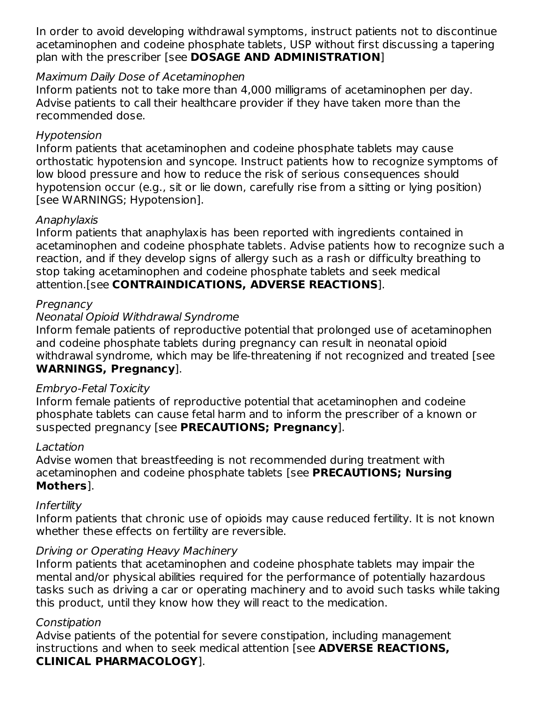In order to avoid developing withdrawal symptoms, instruct patients not to discontinue acetaminophen and codeine phosphate tablets, USP without first discussing a tapering plan with the prescriber [see **DOSAGE AND ADMINISTRATION**]

### Maximum Daily Dose of Acetaminophen

Inform patients not to take more than 4,000 milligrams of acetaminophen per day. Advise patients to call their healthcare provider if they have taken more than the recommended dose.

### Hypotension

Inform patients that acetaminophen and codeine phosphate tablets may cause orthostatic hypotension and syncope. Instruct patients how to recognize symptoms of low blood pressure and how to reduce the risk of serious consequences should hypotension occur (e.g., sit or lie down, carefully rise from a sitting or lying position) [see WARNINGS; Hypotension].

### Anaphylaxis

Inform patients that anaphylaxis has been reported with ingredients contained in acetaminophen and codeine phosphate tablets. Advise patients how to recognize such a reaction, and if they develop signs of allergy such as a rash or difficulty breathing to stop taking acetaminophen and codeine phosphate tablets and seek medical attention.[see **CONTRAINDICATIONS, ADVERSE REACTIONS**].

### **Pregnancy**

### Neonatal Opioid Withdrawal Syndrome

Inform female patients of reproductive potential that prolonged use of acetaminophen and codeine phosphate tablets during pregnancy can result in neonatal opioid withdrawal syndrome, which may be life-threatening if not recognized and treated [see **WARNINGS, Pregnancy**].

### Embryo-Fetal Toxicity

Inform female patients of reproductive potential that acetaminophen and codeine phosphate tablets can cause fetal harm and to inform the prescriber of a known or suspected pregnancy [see **PRECAUTIONS; Pregnancy**].

### Lactation

Advise women that breastfeeding is not recommended during treatment with acetaminophen and codeine phosphate tablets [see **PRECAUTIONS; Nursing Mothers**].

### Infertility

Inform patients that chronic use of opioids may cause reduced fertility. It is not known whether these effects on fertility are reversible.

## Driving or Operating Heavy Machinery

Inform patients that acetaminophen and codeine phosphate tablets may impair the mental and/or physical abilities required for the performance of potentially hazardous tasks such as driving a car or operating machinery and to avoid such tasks while taking this product, until they know how they will react to the medication.

### **Constipation**

Advise patients of the potential for severe constipation, including management instructions and when to seek medical attention [see **ADVERSE REACTIONS, CLINICAL PHARMACOLOGY**].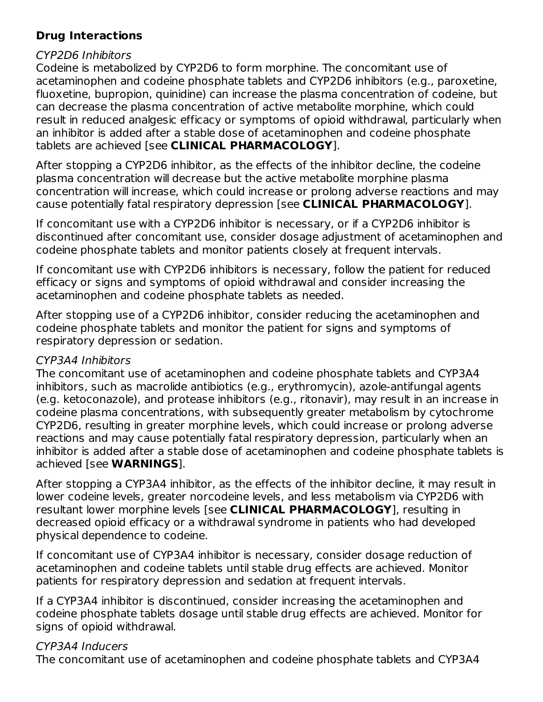## **Drug Interactions**

### CYP2D6 Inhibitors

Codeine is metabolized by CYP2D6 to form morphine. The concomitant use of acetaminophen and codeine phosphate tablets and CYP2D6 inhibitors (e.g., paroxetine, fluoxetine, bupropion, quinidine) can increase the plasma concentration of codeine, but can decrease the plasma concentration of active metabolite morphine, which could result in reduced analgesic efficacy or symptoms of opioid withdrawal, particularly when an inhibitor is added after a stable dose of acetaminophen and codeine phosphate tablets are achieved [see **CLINICAL PHARMACOLOGY**].

After stopping a CYP2D6 inhibitor, as the effects of the inhibitor decline, the codeine plasma concentration will decrease but the active metabolite morphine plasma concentration will increase, which could increase or prolong adverse reactions and may cause potentially fatal respiratory depression [see **CLINICAL PHARMACOLOGY**].

If concomitant use with a CYP2D6 inhibitor is necessary, or if a CYP2D6 inhibitor is discontinued after concomitant use, consider dosage adjustment of acetaminophen and codeine phosphate tablets and monitor patients closely at frequent intervals.

If concomitant use with CYP2D6 inhibitors is necessary, follow the patient for reduced efficacy or signs and symptoms of opioid withdrawal and consider increasing the acetaminophen and codeine phosphate tablets as needed.

After stopping use of a CYP2D6 inhibitor, consider reducing the acetaminophen and codeine phosphate tablets and monitor the patient for signs and symptoms of respiratory depression or sedation.

## CYP3A4 Inhibitors

The concomitant use of acetaminophen and codeine phosphate tablets and CYP3A4 inhibitors, such as macrolide antibiotics (e.g., erythromycin), azole-antifungal agents (e.g. ketoconazole), and protease inhibitors (e.g., ritonavir), may result in an increase in codeine plasma concentrations, with subsequently greater metabolism by cytochrome CYP2D6, resulting in greater morphine levels, which could increase or prolong adverse reactions and may cause potentially fatal respiratory depression, particularly when an inhibitor is added after a stable dose of acetaminophen and codeine phosphate tablets is achieved [see **WARNINGS**].

After stopping a CYP3A4 inhibitor, as the effects of the inhibitor decline, it may result in lower codeine levels, greater norcodeine levels, and less metabolism via CYP2D6 with resultant lower morphine levels [see **CLINICAL PHARMACOLOGY**], resulting in decreased opioid efficacy or a withdrawal syndrome in patients who had developed physical dependence to codeine.

If concomitant use of CYP3A4 inhibitor is necessary, consider dosage reduction of acetaminophen and codeine tablets until stable drug effects are achieved. Monitor patients for respiratory depression and sedation at frequent intervals.

If a CYP3A4 inhibitor is discontinued, consider increasing the acetaminophen and codeine phosphate tablets dosage until stable drug effects are achieved. Monitor for signs of opioid withdrawal.

# CYP3A4 Inducers

The concomitant use of acetaminophen and codeine phosphate tablets and CYP3A4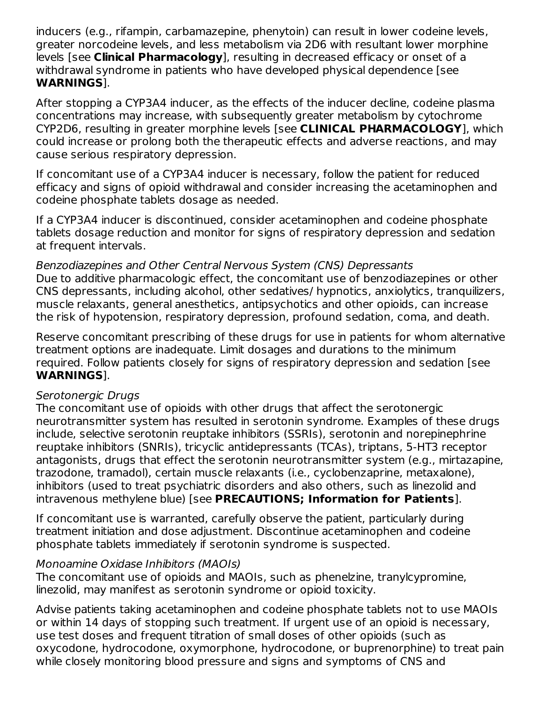inducers (e.g., rifampin, carbamazepine, phenytoin) can result in lower codeine levels, greater norcodeine levels, and less metabolism via 2D6 with resultant lower morphine levels [see **Clinical Pharmacology**], resulting in decreased efficacy or onset of a withdrawal syndrome in patients who have developed physical dependence [see **WARNINGS**].

After stopping a CYP3A4 inducer, as the effects of the inducer decline, codeine plasma concentrations may increase, with subsequently greater metabolism by cytochrome CYP2D6, resulting in greater morphine levels [see **CLINICAL PHARMACOLOGY**], which could increase or prolong both the therapeutic effects and adverse reactions, and may cause serious respiratory depression.

If concomitant use of a CYP3A4 inducer is necessary, follow the patient for reduced efficacy and signs of opioid withdrawal and consider increasing the acetaminophen and codeine phosphate tablets dosage as needed.

If a CYP3A4 inducer is discontinued, consider acetaminophen and codeine phosphate tablets dosage reduction and monitor for signs of respiratory depression and sedation at frequent intervals.

#### Benzodiazepines and Other Central Nervous System (CNS) Depressants Due to additive pharmacologic effect, the concomitant use of benzodiazepines or other CNS depressants, including alcohol, other sedatives/ hypnotics, anxiolytics, tranquilizers, muscle relaxants, general anesthetics, antipsychotics and other opioids, can increase the risk of hypotension, respiratory depression, profound sedation, coma, and death.

Reserve concomitant prescribing of these drugs for use in patients for whom alternative treatment options are inadequate. Limit dosages and durations to the minimum required. Follow patients closely for signs of respiratory depression and sedation [see **WARNINGS**].

### Serotonergic Drugs

The concomitant use of opioids with other drugs that affect the serotonergic neurotransmitter system has resulted in serotonin syndrome. Examples of these drugs include, selective serotonin reuptake inhibitors (SSRIs), serotonin and norepinephrine reuptake inhibitors (SNRIs), tricyclic antidepressants (TCAs), triptans, 5-HT3 receptor antagonists, drugs that effect the serotonin neurotransmitter system (e.g., mirtazapine, trazodone, tramadol), certain muscle relaxants (i.e., cyclobenzaprine, metaxalone), inhibitors (used to treat psychiatric disorders and also others, such as linezolid and intravenous methylene blue) [see **PRECAUTIONS; Information for Patients**].

If concomitant use is warranted, carefully observe the patient, particularly during treatment initiation and dose adjustment. Discontinue acetaminophen and codeine phosphate tablets immediately if serotonin syndrome is suspected.

### Monoamine Oxidase Inhibitors (MAOIs)

The concomitant use of opioids and MAOIs, such as phenelzine, tranylcypromine, linezolid, may manifest as serotonin syndrome or opioid toxicity.

Advise patients taking acetaminophen and codeine phosphate tablets not to use MAOIs or within 14 days of stopping such treatment. If urgent use of an opioid is necessary, use test doses and frequent titration of small doses of other opioids (such as oxycodone, hydrocodone, oxymorphone, hydrocodone, or buprenorphine) to treat pain while closely monitoring blood pressure and signs and symptoms of CNS and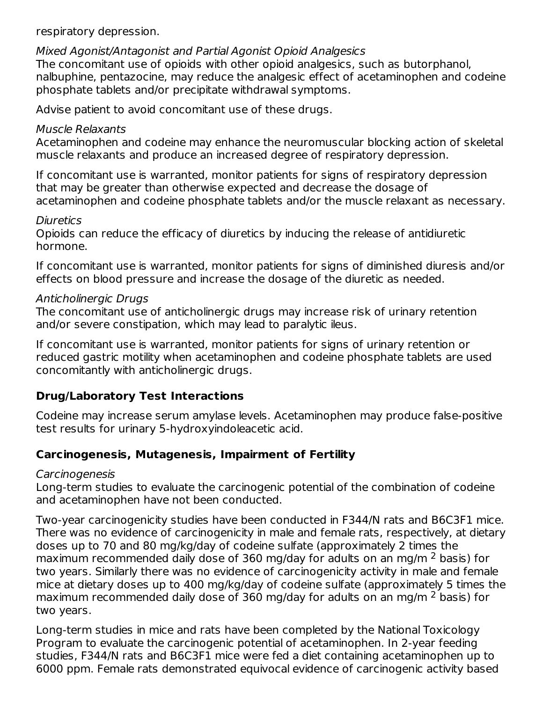respiratory depression.

#### Mixed Agonist/Antagonist and Partial Agonist Opioid Analgesics

The concomitant use of opioids with other opioid analgesics, such as butorphanol, nalbuphine, pentazocine, may reduce the analgesic effect of acetaminophen and codeine phosphate tablets and/or precipitate withdrawal symptoms.

Advise patient to avoid concomitant use of these drugs.

### Muscle Relaxants

Acetaminophen and codeine may enhance the neuromuscular blocking action of skeletal muscle relaxants and produce an increased degree of respiratory depression.

If concomitant use is warranted, monitor patients for signs of respiratory depression that may be greater than otherwise expected and decrease the dosage of acetaminophen and codeine phosphate tablets and/or the muscle relaxant as necessary.

### **Diuretics**

Opioids can reduce the efficacy of diuretics by inducing the release of antidiuretic hormone.

If concomitant use is warranted, monitor patients for signs of diminished diuresis and/or effects on blood pressure and increase the dosage of the diuretic as needed.

### Anticholinergic Drugs

The concomitant use of anticholinergic drugs may increase risk of urinary retention and/or severe constipation, which may lead to paralytic ileus.

If concomitant use is warranted, monitor patients for signs of urinary retention or reduced gastric motility when acetaminophen and codeine phosphate tablets are used concomitantly with anticholinergic drugs.

## **Drug/Laboratory Test Interactions**

Codeine may increase serum amylase levels. Acetaminophen may produce false-positive test results for urinary 5-hydroxyindoleacetic acid.

## **Carcinogenesis, Mutagenesis, Impairment of Fertility**

### **Carcinogenesis**

Long-term studies to evaluate the carcinogenic potential of the combination of codeine and acetaminophen have not been conducted.

Two-year carcinogenicity studies have been conducted in F344/N rats and B6C3F1 mice. There was no evidence of carcinogenicity in male and female rats, respectively, at dietary doses up to 70 and 80 mg/kg/day of codeine sulfate (approximately 2 times the maximum recommended daily dose of 360 mg/day for adults on an mg/m  $^2$  basis) for two years. Similarly there was no evidence of carcinogenicity activity in male and female mice at dietary doses up to 400 mg/kg/day of codeine sulfate (approximately 5 times the maximum recommended daily dose of 360 mg/day for adults on an mg/m  $^2$  basis) for two years.

Long-term studies in mice and rats have been completed by the National Toxicology Program to evaluate the carcinogenic potential of acetaminophen. In 2-year feeding studies, F344/N rats and B6C3F1 mice were fed a diet containing acetaminophen up to 6000 ppm. Female rats demonstrated equivocal evidence of carcinogenic activity based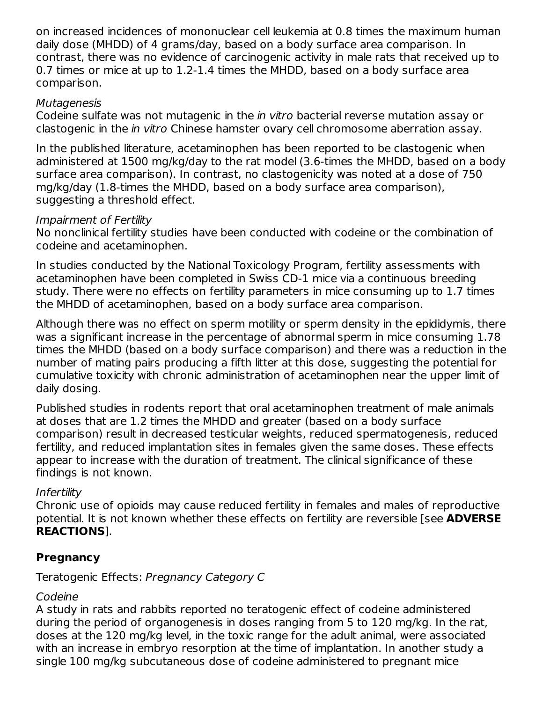on increased incidences of mononuclear cell leukemia at 0.8 times the maximum human daily dose (MHDD) of 4 grams/day, based on a body surface area comparison. In contrast, there was no evidence of carcinogenic activity in male rats that received up to 0.7 times or mice at up to 1.2-1.4 times the MHDD, based on a body surface area comparison.

#### Mutagenesis

Codeine sulfate was not mutagenic in the in vitro bacterial reverse mutation assay or clastogenic in the in vitro Chinese hamster ovary cell chromosome aberration assay.

In the published literature, acetaminophen has been reported to be clastogenic when administered at 1500 mg/kg/day to the rat model (3.6-times the MHDD, based on a body surface area comparison). In contrast, no clastogenicity was noted at a dose of 750 mg/kg/day (1.8-times the MHDD, based on a body surface area comparison), suggesting a threshold effect.

#### Impairment of Fertility

No nonclinical fertility studies have been conducted with codeine or the combination of codeine and acetaminophen.

In studies conducted by the National Toxicology Program, fertility assessments with acetaminophen have been completed in Swiss CD-1 mice via a continuous breeding study. There were no effects on fertility parameters in mice consuming up to 1.7 times the MHDD of acetaminophen, based on a body surface area comparison.

Although there was no effect on sperm motility or sperm density in the epididymis, there was a significant increase in the percentage of abnormal sperm in mice consuming 1.78 times the MHDD (based on a body surface comparison) and there was a reduction in the number of mating pairs producing a fifth litter at this dose, suggesting the potential for cumulative toxicity with chronic administration of acetaminophen near the upper limit of daily dosing.

Published studies in rodents report that oral acetaminophen treatment of male animals at doses that are 1.2 times the MHDD and greater (based on a body surface comparison) result in decreased testicular weights, reduced spermatogenesis, reduced fertility, and reduced implantation sites in females given the same doses. These effects appear to increase with the duration of treatment. The clinical significance of these findings is not known.

### Infertility

Chronic use of opioids may cause reduced fertility in females and males of reproductive potential. It is not known whether these effects on fertility are reversible [see **ADVERSE REACTIONS**].

### **Pregnancy**

Teratogenic Effects: Pregnancy Category C

### Codeine

A study in rats and rabbits reported no teratogenic effect of codeine administered during the period of organogenesis in doses ranging from 5 to 120 mg/kg. In the rat, doses at the 120 mg/kg level, in the toxic range for the adult animal, were associated with an increase in embryo resorption at the time of implantation. In another study a single 100 mg/kg subcutaneous dose of codeine administered to pregnant mice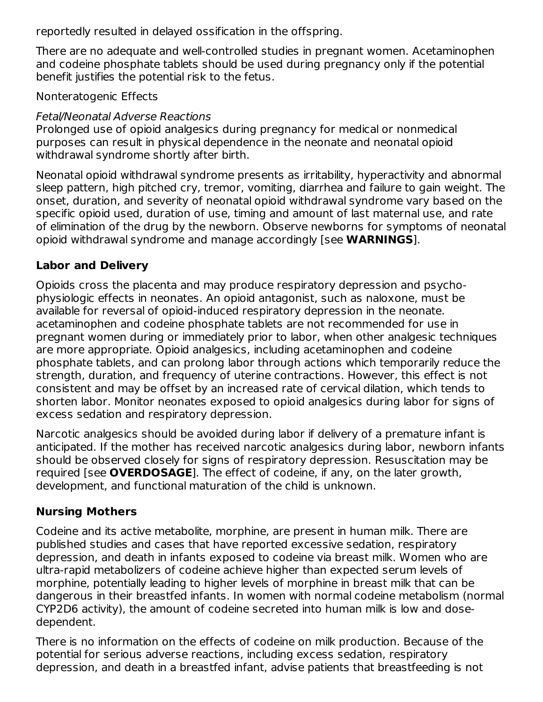reportedly resulted in delayed ossification in the offspring.

There are no adequate and well-controlled studies in pregnant women. Acetaminophen and codeine phosphate tablets should be used during pregnancy only if the potential benefit justifies the potential risk to the fetus.

### Nonteratogenic Effects

### Fetal/Neonatal Adverse Reactions

Prolonged use of opioid analgesics during pregnancy for medical or nonmedical purposes can result in physical dependence in the neonate and neonatal opioid withdrawal syndrome shortly after birth.

Neonatal opioid withdrawal syndrome presents as irritability, hyperactivity and abnormal sleep pattern, high pitched cry, tremor, vomiting, diarrhea and failure to gain weight. The onset, duration, and severity of neonatal opioid withdrawal syndrome vary based on the specific opioid used, duration of use, timing and amount of last maternal use, and rate of elimination of the drug by the newborn. Observe newborns for symptoms of neonatal opioid withdrawal syndrome and manage accordingly [see **WARNINGS**].

## **Labor and Delivery**

Opioids cross the placenta and may produce respiratory depression and psychophysiologic effects in neonates. An opioid antagonist, such as naloxone, must be available for reversal of opioid-induced respiratory depression in the neonate. acetaminophen and codeine phosphate tablets are not recommended for use in pregnant women during or immediately prior to labor, when other analgesic techniques are more appropriate. Opioid analgesics, including acetaminophen and codeine phosphate tablets, and can prolong labor through actions which temporarily reduce the strength, duration, and frequency of uterine contractions. However, this effect is not consistent and may be offset by an increased rate of cervical dilation, which tends to shorten labor. Monitor neonates exposed to opioid analgesics during labor for signs of excess sedation and respiratory depression.

Narcotic analgesics should be avoided during labor if delivery of a premature infant is anticipated. If the mother has received narcotic analgesics during labor, newborn infants should be observed closely for signs of respiratory depression. Resuscitation may be required [see **OVERDOSAGE**]. The effect of codeine, if any, on the later growth, development, and functional maturation of the child is unknown.

## **Nursing Mothers**

Codeine and its active metabolite, morphine, are present in human milk. There are published studies and cases that have reported excessive sedation, respiratory depression, and death in infants exposed to codeine via breast milk. Women who are ultra-rapid metabolizers of codeine achieve higher than expected serum levels of morphine, potentially leading to higher levels of morphine in breast milk that can be dangerous in their breastfed infants. In women with normal codeine metabolism (normal CYP2D6 activity), the amount of codeine secreted into human milk is low and dosedependent.

There is no information on the effects of codeine on milk production. Because of the potential for serious adverse reactions, including excess sedation, respiratory depression, and death in a breastfed infant, advise patients that breastfeeding is not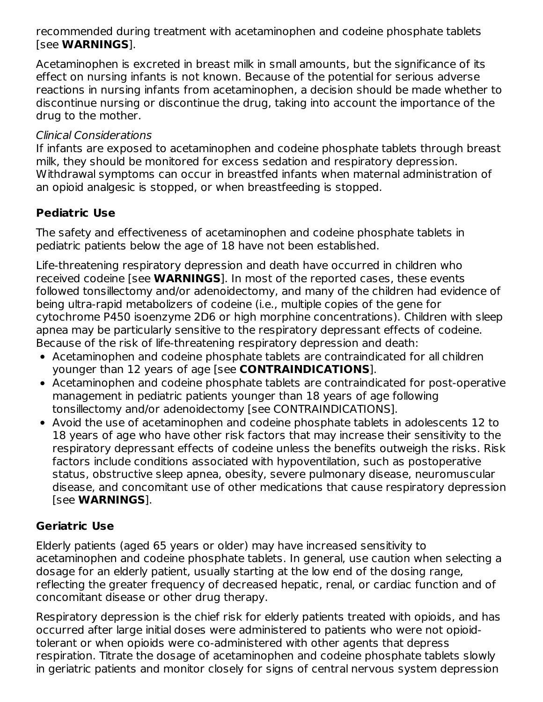recommended during treatment with acetaminophen and codeine phosphate tablets [see **WARNINGS**].

Acetaminophen is excreted in breast milk in small amounts, but the significance of its effect on nursing infants is not known. Because of the potential for serious adverse reactions in nursing infants from acetaminophen, a decision should be made whether to discontinue nursing or discontinue the drug, taking into account the importance of the drug to the mother.

### Clinical Considerations

If infants are exposed to acetaminophen and codeine phosphate tablets through breast milk, they should be monitored for excess sedation and respiratory depression. Withdrawal symptoms can occur in breastfed infants when maternal administration of an opioid analgesic is stopped, or when breastfeeding is stopped.

## **Pediatric Use**

The safety and effectiveness of acetaminophen and codeine phosphate tablets in pediatric patients below the age of 18 have not been established.

Life-threatening respiratory depression and death have occurred in children who received codeine [see **WARNINGS**]. In most of the reported cases, these events followed tonsillectomy and/or adenoidectomy, and many of the children had evidence of being ultra-rapid metabolizers of codeine (i.e., multiple copies of the gene for cytochrome P450 isoenzyme 2D6 or high morphine concentrations). Children with sleep apnea may be particularly sensitive to the respiratory depressant effects of codeine. Because of the risk of life-threatening respiratory depression and death:

- Acetaminophen and codeine phosphate tablets are contraindicated for all children younger than 12 years of age [see **CONTRAINDICATIONS**].
- Acetaminophen and codeine phosphate tablets are contraindicated for post-operative management in pediatric patients younger than 18 years of age following tonsillectomy and/or adenoidectomy [see CONTRAINDICATIONS].
- Avoid the use of acetaminophen and codeine phosphate tablets in adolescents 12 to 18 years of age who have other risk factors that may increase their sensitivity to the respiratory depressant effects of codeine unless the benefits outweigh the risks. Risk factors include conditions associated with hypoventilation, such as postoperative status, obstructive sleep apnea, obesity, severe pulmonary disease, neuromuscular disease, and concomitant use of other medications that cause respiratory depression [see **WARNINGS**].

## **Geriatric Use**

Elderly patients (aged 65 years or older) may have increased sensitivity to acetaminophen and codeine phosphate tablets. In general, use caution when selecting a dosage for an elderly patient, usually starting at the low end of the dosing range, reflecting the greater frequency of decreased hepatic, renal, or cardiac function and of concomitant disease or other drug therapy.

Respiratory depression is the chief risk for elderly patients treated with opioids, and has occurred after large initial doses were administered to patients who were not opioidtolerant or when opioids were co-administered with other agents that depress respiration. Titrate the dosage of acetaminophen and codeine phosphate tablets slowly in geriatric patients and monitor closely for signs of central nervous system depression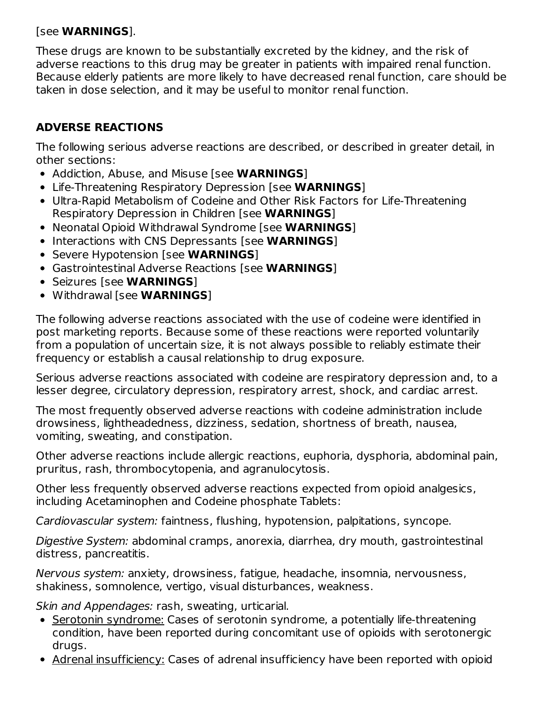### [see **WARNINGS**].

These drugs are known to be substantially excreted by the kidney, and the risk of adverse reactions to this drug may be greater in patients with impaired renal function. Because elderly patients are more likely to have decreased renal function, care should be taken in dose selection, and it may be useful to monitor renal function.

# **ADVERSE REACTIONS**

The following serious adverse reactions are described, or described in greater detail, in other sections:

- Addiction, Abuse, and Misuse [see **WARNINGS**]
- Life-Threatening Respiratory Depression [see **WARNINGS**]
- Ultra-Rapid Metabolism of Codeine and Other Risk Factors for Life-Threatening Respiratory Depression in Children [see **WARNINGS**]
- Neonatal Opioid Withdrawal Syndrome [see **WARNINGS**]
- **Interactions with CNS Depressants [see WARNINGS]**
- **Severe Hypotension [see WARNINGS]**
- Gastrointestinal Adverse Reactions [see **WARNINGS**]
- Seizures [see **WARNINGS**]
- Withdrawal [see **WARNINGS**]

The following adverse reactions associated with the use of codeine were identified in post marketing reports. Because some of these reactions were reported voluntarily from a population of uncertain size, it is not always possible to reliably estimate their frequency or establish a causal relationship to drug exposure.

Serious adverse reactions associated with codeine are respiratory depression and, to a lesser degree, circulatory depression, respiratory arrest, shock, and cardiac arrest.

The most frequently observed adverse reactions with codeine administration include drowsiness, lightheadedness, dizziness, sedation, shortness of breath, nausea, vomiting, sweating, and constipation.

Other adverse reactions include allergic reactions, euphoria, dysphoria, abdominal pain, pruritus, rash, thrombocytopenia, and agranulocytosis.

Other less frequently observed adverse reactions expected from opioid analgesics, including Acetaminophen and Codeine phosphate Tablets:

Cardiovascular system: faintness, flushing, hypotension, palpitations, syncope.

Digestive System: abdominal cramps, anorexia, diarrhea, dry mouth, gastrointestinal distress, pancreatitis.

Nervous system: anxiety, drowsiness, fatigue, headache, insomnia, nervousness, shakiness, somnolence, vertigo, visual disturbances, weakness.

Skin and Appendages: rash, sweating, urticarial.

- Serotonin syndrome: Cases of serotonin syndrome, a potentially life-threatening condition, have been reported during concomitant use of opioids with serotonergic drugs.
- Adrenal insufficiency: Cases of adrenal insufficiency have been reported with opioid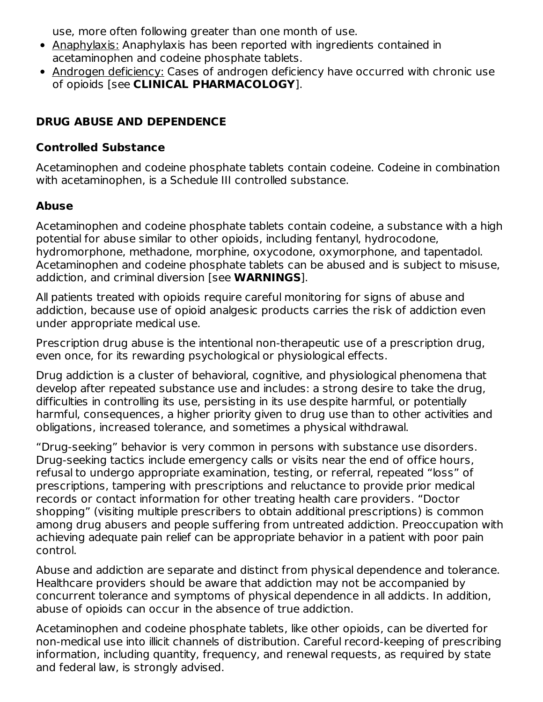use, more often following greater than one month of use.

- Anaphylaxis: Anaphylaxis has been reported with ingredients contained in acetaminophen and codeine phosphate tablets.
- Androgen deficiency: Cases of androgen deficiency have occurred with chronic use of opioids [see **CLINICAL PHARMACOLOGY**].

## **DRUG ABUSE AND DEPENDENCE**

### **Controlled Substance**

Acetaminophen and codeine phosphate tablets contain codeine. Codeine in combination with acetaminophen, is a Schedule III controlled substance.

# **Abuse**

Acetaminophen and codeine phosphate tablets contain codeine, a substance with a high potential for abuse similar to other opioids, including fentanyl, hydrocodone, hydromorphone, methadone, morphine, oxycodone, oxymorphone, and tapentadol. Acetaminophen and codeine phosphate tablets can be abused and is subject to misuse, addiction, and criminal diversion [see **WARNINGS**].

All patients treated with opioids require careful monitoring for signs of abuse and addiction, because use of opioid analgesic products carries the risk of addiction even under appropriate medical use.

Prescription drug abuse is the intentional non-therapeutic use of a prescription drug, even once, for its rewarding psychological or physiological effects.

Drug addiction is a cluster of behavioral, cognitive, and physiological phenomena that develop after repeated substance use and includes: a strong desire to take the drug, difficulties in controlling its use, persisting in its use despite harmful, or potentially harmful, consequences, a higher priority given to drug use than to other activities and obligations, increased tolerance, and sometimes a physical withdrawal.

"Drug-seeking" behavior is very common in persons with substance use disorders. Drug-seeking tactics include emergency calls or visits near the end of office hours, refusal to undergo appropriate examination, testing, or referral, repeated "loss" of prescriptions, tampering with prescriptions and reluctance to provide prior medical records or contact information for other treating health care providers. "Doctor shopping" (visiting multiple prescribers to obtain additional prescriptions) is common among drug abusers and people suffering from untreated addiction. Preoccupation with achieving adequate pain relief can be appropriate behavior in a patient with poor pain control.

Abuse and addiction are separate and distinct from physical dependence and tolerance. Healthcare providers should be aware that addiction may not be accompanied by concurrent tolerance and symptoms of physical dependence in all addicts. In addition, abuse of opioids can occur in the absence of true addiction.

Acetaminophen and codeine phosphate tablets, like other opioids, can be diverted for non-medical use into illicit channels of distribution. Careful record-keeping of prescribing information, including quantity, frequency, and renewal requests, as required by state and federal law, is strongly advised.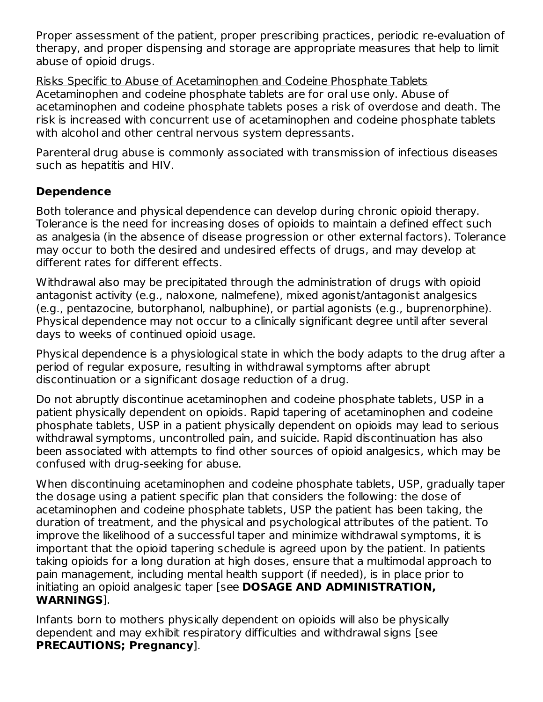Proper assessment of the patient, proper prescribing practices, periodic re-evaluation of therapy, and proper dispensing and storage are appropriate measures that help to limit abuse of opioid drugs.

Risks Specific to Abuse of Acetaminophen and Codeine Phosphate Tablets Acetaminophen and codeine phosphate tablets are for oral use only. Abuse of acetaminophen and codeine phosphate tablets poses a risk of overdose and death. The risk is increased with concurrent use of acetaminophen and codeine phosphate tablets with alcohol and other central nervous system depressants.

Parenteral drug abuse is commonly associated with transmission of infectious diseases such as hepatitis and HIV.

## **Dependence**

Both tolerance and physical dependence can develop during chronic opioid therapy. Tolerance is the need for increasing doses of opioids to maintain a defined effect such as analgesia (in the absence of disease progression or other external factors). Tolerance may occur to both the desired and undesired effects of drugs, and may develop at different rates for different effects.

Withdrawal also may be precipitated through the administration of drugs with opioid antagonist activity (e.g., naloxone, nalmefene), mixed agonist/antagonist analgesics (e.g., pentazocine, butorphanol, nalbuphine), or partial agonists (e.g., buprenorphine). Physical dependence may not occur to a clinically significant degree until after several days to weeks of continued opioid usage.

Physical dependence is a physiological state in which the body adapts to the drug after a period of regular exposure, resulting in withdrawal symptoms after abrupt discontinuation or a significant dosage reduction of a drug.

Do not abruptly discontinue acetaminophen and codeine phosphate tablets, USP in a patient physically dependent on opioids. Rapid tapering of acetaminophen and codeine phosphate tablets, USP in a patient physically dependent on opioids may lead to serious withdrawal symptoms, uncontrolled pain, and suicide. Rapid discontinuation has also been associated with attempts to find other sources of opioid analgesics, which may be confused with drug-seeking for abuse.

When discontinuing acetaminophen and codeine phosphate tablets, USP, gradually taper the dosage using a patient specific plan that considers the following: the dose of acetaminophen and codeine phosphate tablets, USP the patient has been taking, the duration of treatment, and the physical and psychological attributes of the patient. To improve the likelihood of a successful taper and minimize withdrawal symptoms, it is important that the opioid tapering schedule is agreed upon by the patient. In patients taking opioids for a long duration at high doses, ensure that a multimodal approach to pain management, including mental health support (if needed), is in place prior to initiating an opioid analgesic taper [see **DOSAGE AND ADMINISTRATION, WARNINGS**].

Infants born to mothers physically dependent on opioids will also be physically dependent and may exhibit respiratory difficulties and withdrawal signs [see **PRECAUTIONS; Pregnancy**].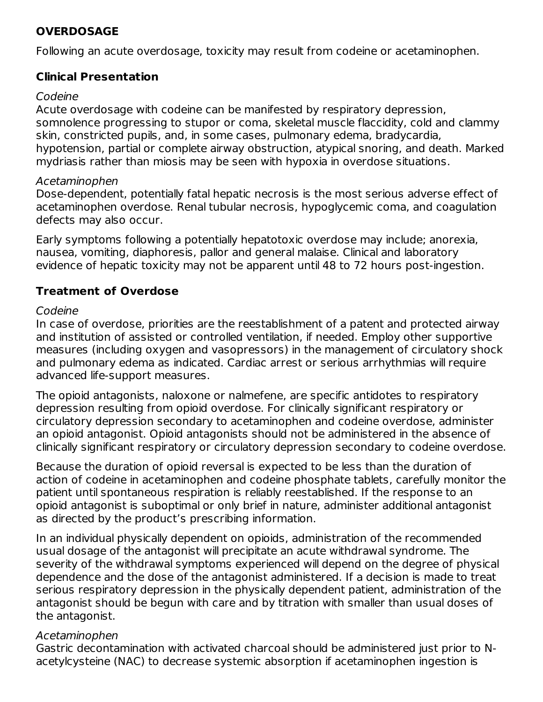## **OVERDOSAGE**

Following an acute overdosage, toxicity may result from codeine or acetaminophen.

### **Clinical Presentation**

#### Codeine

Acute overdosage with codeine can be manifested by respiratory depression, somnolence progressing to stupor or coma, skeletal muscle flaccidity, cold and clammy skin, constricted pupils, and, in some cases, pulmonary edema, bradycardia, hypotension, partial or complete airway obstruction, atypical snoring, and death. Marked mydriasis rather than miosis may be seen with hypoxia in overdose situations.

### Acetaminophen

Dose-dependent, potentially fatal hepatic necrosis is the most serious adverse effect of acetaminophen overdose. Renal tubular necrosis, hypoglycemic coma, and coagulation defects may also occur.

Early symptoms following a potentially hepatotoxic overdose may include; anorexia, nausea, vomiting, diaphoresis, pallor and general malaise. Clinical and laboratory evidence of hepatic toxicity may not be apparent until 48 to 72 hours post-ingestion.

## **Treatment of Overdose**

### Codeine

In case of overdose, priorities are the reestablishment of a patent and protected airway and institution of assisted or controlled ventilation, if needed. Employ other supportive measures (including oxygen and vasopressors) in the management of circulatory shock and pulmonary edema as indicated. Cardiac arrest or serious arrhythmias will require advanced life-support measures.

The opioid antagonists, naloxone or nalmefene, are specific antidotes to respiratory depression resulting from opioid overdose. For clinically significant respiratory or circulatory depression secondary to acetaminophen and codeine overdose, administer an opioid antagonist. Opioid antagonists should not be administered in the absence of clinically significant respiratory or circulatory depression secondary to codeine overdose.

Because the duration of opioid reversal is expected to be less than the duration of action of codeine in acetaminophen and codeine phosphate tablets, carefully monitor the patient until spontaneous respiration is reliably reestablished. If the response to an opioid antagonist is suboptimal or only brief in nature, administer additional antagonist as directed by the product's prescribing information.

In an individual physically dependent on opioids, administration of the recommended usual dosage of the antagonist will precipitate an acute withdrawal syndrome. The severity of the withdrawal symptoms experienced will depend on the degree of physical dependence and the dose of the antagonist administered. If a decision is made to treat serious respiratory depression in the physically dependent patient, administration of the antagonist should be begun with care and by titration with smaller than usual doses of the antagonist.

### Acetaminophen

Gastric decontamination with activated charcoal should be administered just prior to Nacetylcysteine (NAC) to decrease systemic absorption if acetaminophen ingestion is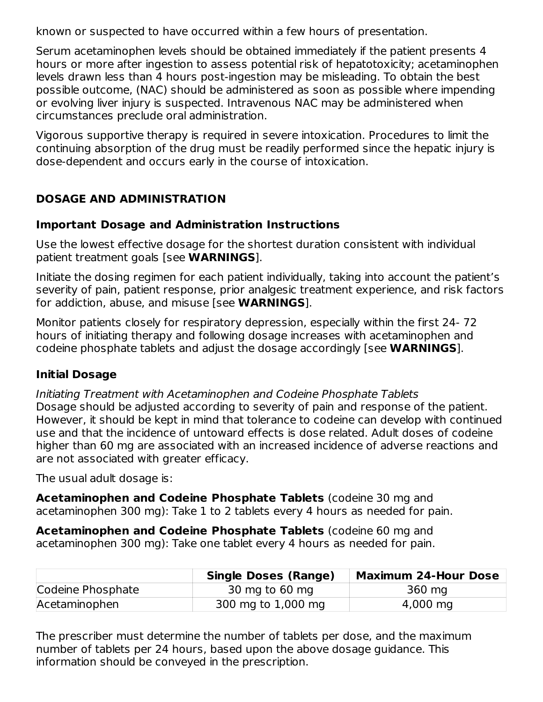known or suspected to have occurred within a few hours of presentation.

Serum acetaminophen levels should be obtained immediately if the patient presents 4 hours or more after ingestion to assess potential risk of hepatotoxicity; acetaminophen levels drawn less than 4 hours post-ingestion may be misleading. To obtain the best possible outcome, (NAC) should be administered as soon as possible where impending or evolving liver injury is suspected. Intravenous NAC may be administered when circumstances preclude oral administration.

Vigorous supportive therapy is required in severe intoxication. Procedures to limit the continuing absorption of the drug must be readily performed since the hepatic injury is dose-dependent and occurs early in the course of intoxication.

# **DOSAGE AND ADMINISTRATION**

### **Important Dosage and Administration Instructions**

Use the lowest effective dosage for the shortest duration consistent with individual patient treatment goals [see **WARNINGS**].

Initiate the dosing regimen for each patient individually, taking into account the patient's severity of pain, patient response, prior analgesic treatment experience, and risk factors for addiction, abuse, and misuse [see **WARNINGS**].

Monitor patients closely for respiratory depression, especially within the first 24- 72 hours of initiating therapy and following dosage increases with acetaminophen and codeine phosphate tablets and adjust the dosage accordingly [see **WARNINGS**].

## **Initial Dosage**

Initiating Treatment with Acetaminophen and Codeine Phosphate Tablets Dosage should be adjusted according to severity of pain and response of the patient. However, it should be kept in mind that tolerance to codeine can develop with continued use and that the incidence of untoward effects is dose related. Adult doses of codeine higher than 60 mg are associated with an increased incidence of adverse reactions and are not associated with greater efficacy.

The usual adult dosage is:

**Acetaminophen and Codeine Phosphate Tablets** (codeine 30 mg and acetaminophen 300 mg): Take 1 to 2 tablets every 4 hours as needed for pain.

**Acetaminophen and Codeine Phosphate Tablets** (codeine 60 mg and acetaminophen 300 mg): Take one tablet every 4 hours as needed for pain.

|                   | <b>Single Doses (Range)</b> | <b>Maximum 24-Hour Dose</b> |
|-------------------|-----------------------------|-----------------------------|
| Codeine Phosphate | 30 mg to 60 mg              | 360 mg                      |
| Acetaminophen     | 300 mg to 1,000 mg          | 4,000 mg                    |

The prescriber must determine the number of tablets per dose, and the maximum number of tablets per 24 hours, based upon the above dosage guidance. This information should be conveyed in the prescription.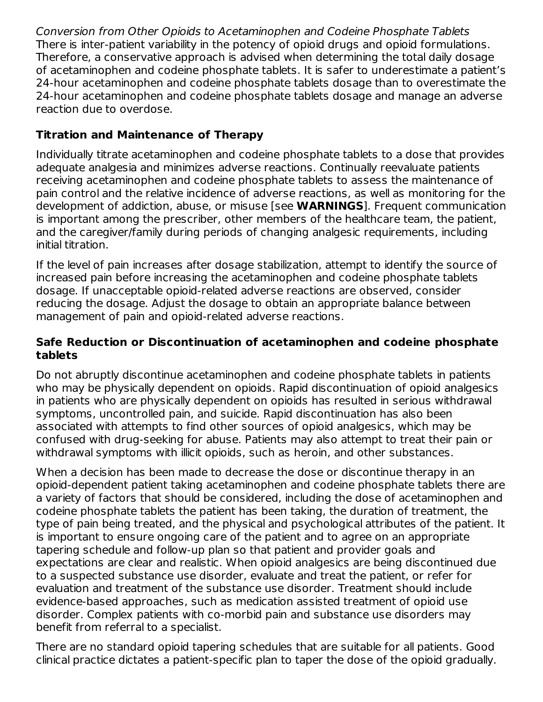Conversion from Other Opioids to Acetaminophen and Codeine Phosphate Tablets There is inter-patient variability in the potency of opioid drugs and opioid formulations. Therefore, a conservative approach is advised when determining the total daily dosage of acetaminophen and codeine phosphate tablets. It is safer to underestimate a patient's 24-hour acetaminophen and codeine phosphate tablets dosage than to overestimate the 24-hour acetaminophen and codeine phosphate tablets dosage and manage an adverse reaction due to overdose.

## **Titration and Maintenance of Therapy**

Individually titrate acetaminophen and codeine phosphate tablets to a dose that provides adequate analgesia and minimizes adverse reactions. Continually reevaluate patients receiving acetaminophen and codeine phosphate tablets to assess the maintenance of pain control and the relative incidence of adverse reactions, as well as monitoring for the development of addiction, abuse, or misuse [see **WARNINGS**]. Frequent communication is important among the prescriber, other members of the healthcare team, the patient, and the caregiver/family during periods of changing analgesic requirements, including initial titration.

If the level of pain increases after dosage stabilization, attempt to identify the source of increased pain before increasing the acetaminophen and codeine phosphate tablets dosage. If unacceptable opioid-related adverse reactions are observed, consider reducing the dosage. Adjust the dosage to obtain an appropriate balance between management of pain and opioid-related adverse reactions.

### **Safe Reduction or Discontinuation of acetaminophen and codeine phosphate tablets**

Do not abruptly discontinue acetaminophen and codeine phosphate tablets in patients who may be physically dependent on opioids. Rapid discontinuation of opioid analgesics in patients who are physically dependent on opioids has resulted in serious withdrawal symptoms, uncontrolled pain, and suicide. Rapid discontinuation has also been associated with attempts to find other sources of opioid analgesics, which may be confused with drug-seeking for abuse. Patients may also attempt to treat their pain or withdrawal symptoms with illicit opioids, such as heroin, and other substances.

When a decision has been made to decrease the dose or discontinue therapy in an opioid-dependent patient taking acetaminophen and codeine phosphate tablets there are a variety of factors that should be considered, including the dose of acetaminophen and codeine phosphate tablets the patient has been taking, the duration of treatment, the type of pain being treated, and the physical and psychological attributes of the patient. It is important to ensure ongoing care of the patient and to agree on an appropriate tapering schedule and follow-up plan so that patient and provider goals and expectations are clear and realistic. When opioid analgesics are being discontinued due to a suspected substance use disorder, evaluate and treat the patient, or refer for evaluation and treatment of the substance use disorder. Treatment should include evidence-based approaches, such as medication assisted treatment of opioid use disorder. Complex patients with co-morbid pain and substance use disorders may benefit from referral to a specialist.

There are no standard opioid tapering schedules that are suitable for all patients. Good clinical practice dictates a patient-specific plan to taper the dose of the opioid gradually.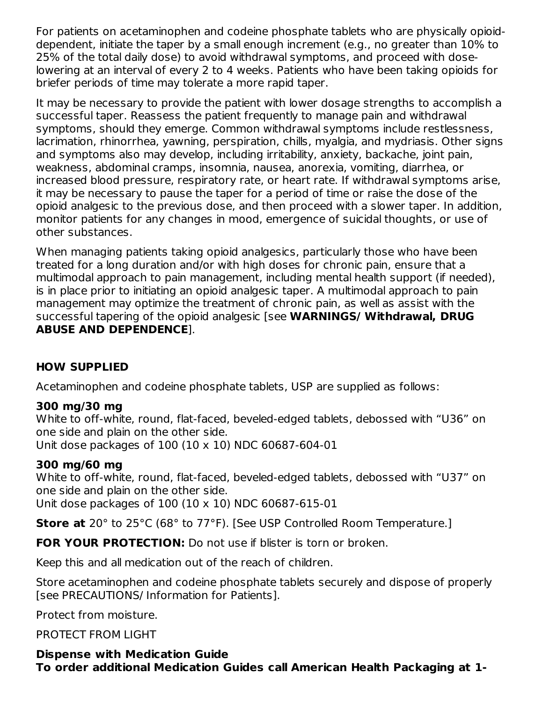For patients on acetaminophen and codeine phosphate tablets who are physically opioiddependent, initiate the taper by a small enough increment (e.g., no greater than 10% to 25% of the total daily dose) to avoid withdrawal symptoms, and proceed with doselowering at an interval of every 2 to 4 weeks. Patients who have been taking opioids for briefer periods of time may tolerate a more rapid taper.

It may be necessary to provide the patient with lower dosage strengths to accomplish a successful taper. Reassess the patient frequently to manage pain and withdrawal symptoms, should they emerge. Common withdrawal symptoms include restlessness, lacrimation, rhinorrhea, yawning, perspiration, chills, myalgia, and mydriasis. Other signs and symptoms also may develop, including irritability, anxiety, backache, joint pain, weakness, abdominal cramps, insomnia, nausea, anorexia, vomiting, diarrhea, or increased blood pressure, respiratory rate, or heart rate. If withdrawal symptoms arise, it may be necessary to pause the taper for a period of time or raise the dose of the opioid analgesic to the previous dose, and then proceed with a slower taper. In addition, monitor patients for any changes in mood, emergence of suicidal thoughts, or use of other substances.

When managing patients taking opioid analgesics, particularly those who have been treated for a long duration and/or with high doses for chronic pain, ensure that a multimodal approach to pain management, including mental health support (if needed), is in place prior to initiating an opioid analgesic taper. A multimodal approach to pain management may optimize the treatment of chronic pain, as well as assist with the successful tapering of the opioid analgesic [see **WARNINGS/ Withdrawal, DRUG ABUSE AND DEPENDENCE**].

## **HOW SUPPLIED**

Acetaminophen and codeine phosphate tablets, USP are supplied as follows:

### **300 mg/30 mg**

White to off-white, round, flat-faced, beveled-edged tablets, debossed with "U36" on one side and plain on the other side. Unit dose packages of 100 (10 x 10) NDC 60687-604-01

### **300 mg/60 mg**

White to off-white, round, flat-faced, beveled-edged tablets, debossed with "U37" on one side and plain on the other side. Unit dose packages of 100 (10 x 10) NDC 60687-615-01

**Store at** 20° to 25°C (68° to 77°F). [See USP Controlled Room Temperature.]

**FOR YOUR PROTECTION:** Do not use if blister is torn or broken.

Keep this and all medication out of the reach of children.

Store acetaminophen and codeine phosphate tablets securely and dispose of properly [see PRECAUTIONS/ Information for Patients].

Protect from moisture.

### PROTECT FROM LIGHT

**Dispense with Medication Guide To order additional Medication Guides call American Health Packaging at 1-**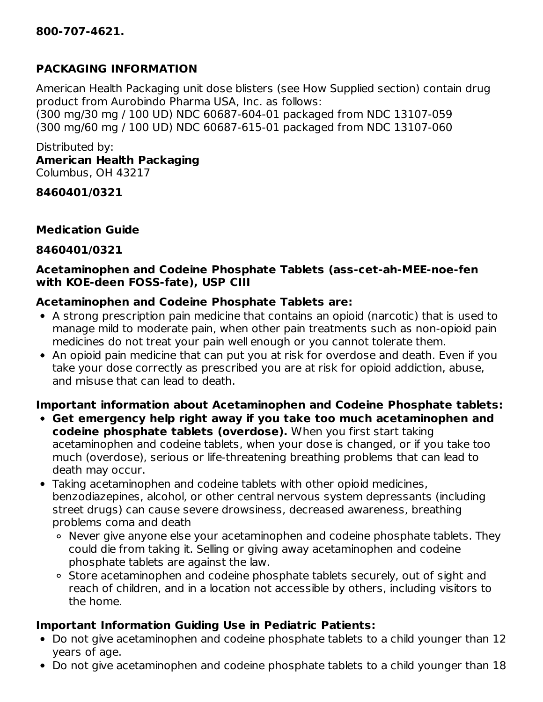### **PACKAGING INFORMATION**

American Health Packaging unit dose blisters (see How Supplied section) contain drug product from Aurobindo Pharma USA, Inc. as follows: (300 mg/30 mg / 100 UD) NDC 60687-604-01 packaged from NDC 13107-059 (300 mg/60 mg / 100 UD) NDC 60687-615-01 packaged from NDC 13107-060

Distributed by: **American Health Packaging** Columbus, OH 43217

**8460401/0321**

#### **Medication Guide**

#### **8460401/0321**

#### **Acetaminophen and Codeine Phosphate Tablets (ass-cet-ah-MEE-noe-fen with KOE-deen FOSS-fate), USP CIII**

#### **Acetaminophen and Codeine Phosphate Tablets are:**

- A strong prescription pain medicine that contains an opioid (narcotic) that is used to manage mild to moderate pain, when other pain treatments such as non-opioid pain medicines do not treat your pain well enough or you cannot tolerate them.
- An opioid pain medicine that can put you at risk for overdose and death. Even if you take your dose correctly as prescribed you are at risk for opioid addiction, abuse, and misuse that can lead to death.

## **Important information about Acetaminophen and Codeine Phosphate tablets:**

- **Get emergency help right away if you take too much acetaminophen and codeine phosphate tablets (overdose).** When you first start taking acetaminophen and codeine tablets, when your dose is changed, or if you take too much (overdose), serious or life-threatening breathing problems that can lead to death may occur.
- Taking acetaminophen and codeine tablets with other opioid medicines, benzodiazepines, alcohol, or other central nervous system depressants (including street drugs) can cause severe drowsiness, decreased awareness, breathing problems coma and death
	- Never give anyone else your acetaminophen and codeine phosphate tablets. They could die from taking it. Selling or giving away acetaminophen and codeine phosphate tablets are against the law.
	- o Store acetaminophen and codeine phosphate tablets securely, out of sight and reach of children, and in a location not accessible by others, including visitors to the home.

### **Important Information Guiding Use in Pediatric Patients:**

- Do not give acetaminophen and codeine phosphate tablets to a child younger than 12 years of age.
- Do not give acetaminophen and codeine phosphate tablets to a child younger than 18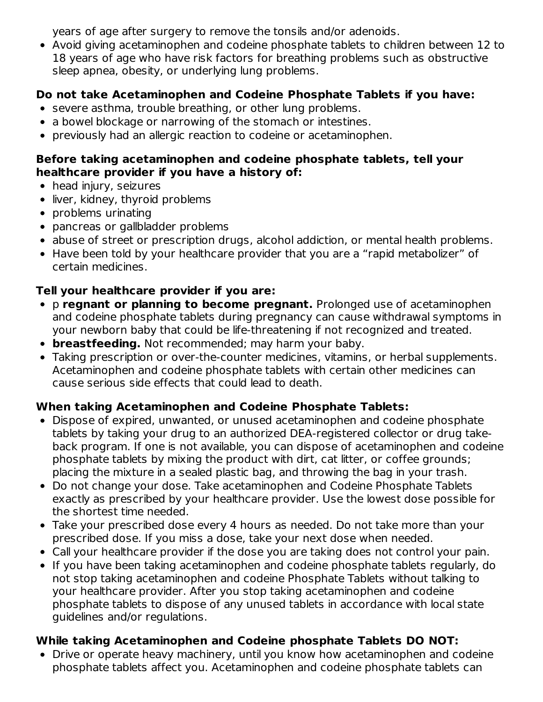years of age after surgery to remove the tonsils and/or adenoids.

Avoid giving acetaminophen and codeine phosphate tablets to children between 12 to 18 years of age who have risk factors for breathing problems such as obstructive sleep apnea, obesity, or underlying lung problems.

## **Do not take Acetaminophen and Codeine Phosphate Tablets if you have:**

- severe asthma, trouble breathing, or other lung problems.
- a bowel blockage or narrowing of the stomach or intestines.
- previously had an allergic reaction to codeine or acetaminophen.

### **Before taking acetaminophen and codeine phosphate tablets, tell your healthcare provider if you have a history of:**

- head injury, seizures
- liver, kidney, thyroid problems
- problems urinating
- pancreas or gallbladder problems
- abuse of street or prescription drugs, alcohol addiction, or mental health problems.
- Have been told by your healthcare provider that you are a "rapid metabolizer" of certain medicines.

## **Tell your healthcare provider if you are:**

- p **regnant or planning to become pregnant.** Prolonged use of acetaminophen and codeine phosphate tablets during pregnancy can cause withdrawal symptoms in your newborn baby that could be life-threatening if not recognized and treated.
- **breastfeeding.** Not recommended; may harm your baby.
- Taking prescription or over-the-counter medicines, vitamins, or herbal supplements. Acetaminophen and codeine phosphate tablets with certain other medicines can cause serious side effects that could lead to death.

## **When taking Acetaminophen and Codeine Phosphate Tablets:**

- Dispose of expired, unwanted, or unused acetaminophen and codeine phosphate tablets by taking your drug to an authorized DEA-registered collector or drug takeback program. If one is not available, you can dispose of acetaminophen and codeine phosphate tablets by mixing the product with dirt, cat litter, or coffee grounds; placing the mixture in a sealed plastic bag, and throwing the bag in your trash.
- Do not change your dose. Take acetaminophen and Codeine Phosphate Tablets exactly as prescribed by your healthcare provider. Use the lowest dose possible for the shortest time needed.
- Take your prescribed dose every 4 hours as needed. Do not take more than your prescribed dose. If you miss a dose, take your next dose when needed.
- Call your healthcare provider if the dose you are taking does not control your pain.
- If you have been taking acetaminophen and codeine phosphate tablets regularly, do not stop taking acetaminophen and codeine Phosphate Tablets without talking to your healthcare provider. After you stop taking acetaminophen and codeine phosphate tablets to dispose of any unused tablets in accordance with local state guidelines and/or regulations.

# **While taking Acetaminophen and Codeine phosphate Tablets DO NOT:**

Drive or operate heavy machinery, until you know how acetaminophen and codeine phosphate tablets affect you. Acetaminophen and codeine phosphate tablets can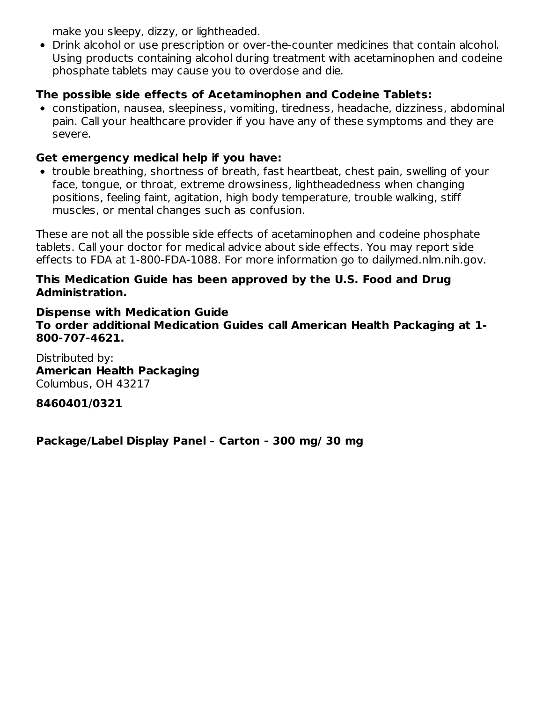make you sleepy, dizzy, or lightheaded.

Drink alcohol or use prescription or over-the-counter medicines that contain alcohol. Using products containing alcohol during treatment with acetaminophen and codeine phosphate tablets may cause you to overdose and die.

## **The possible side effects of Acetaminophen and Codeine Tablets:**

constipation, nausea, sleepiness, vomiting, tiredness, headache, dizziness, abdominal pain. Call your healthcare provider if you have any of these symptoms and they are severe.

### **Get emergency medical help if you have:**

trouble breathing, shortness of breath, fast heartbeat, chest pain, swelling of your face, tongue, or throat, extreme drowsiness, lightheadedness when changing positions, feeling faint, agitation, high body temperature, trouble walking, stiff muscles, or mental changes such as confusion.

These are not all the possible side effects of acetaminophen and codeine phosphate tablets. Call your doctor for medical advice about side effects. You may report side effects to FDA at 1-800-FDA-1088. For more information go to dailymed.nlm.nih.gov.

#### **This Medication Guide has been approved by the U.S. Food and Drug Administration.**

**Dispense with Medication Guide To order additional Medication Guides call American Health Packaging at 1- 800-707-4621.**

Distributed by: **American Health Packaging** Columbus, OH 43217

### **8460401/0321**

**Package/Label Display Panel – Carton - 300 mg/ 30 mg**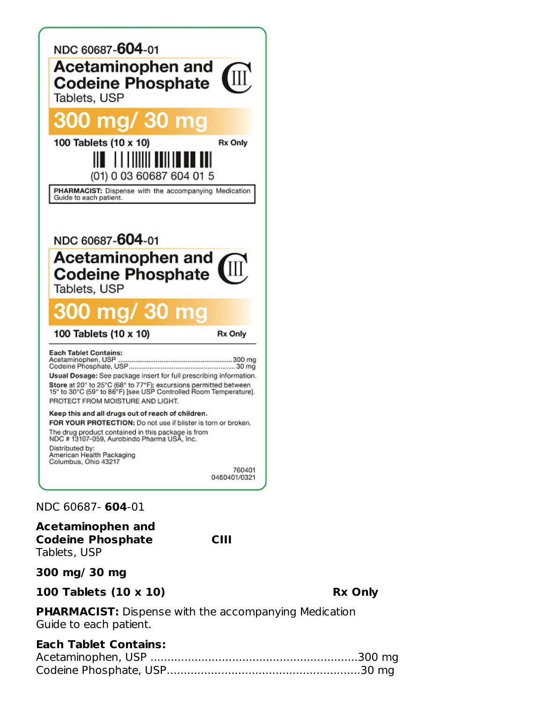

NDC 60687- **604**-01

**Acetaminophen and Codeine Phosphate CIII** Tablets, USP

**300 mg/ 30 mg**

**100 Tablets (10 x 10) Rx Only**

**PHARMACIST:** Dispense with the accompanying Medication Guide to each patient.

## **Each Tablet Contains:**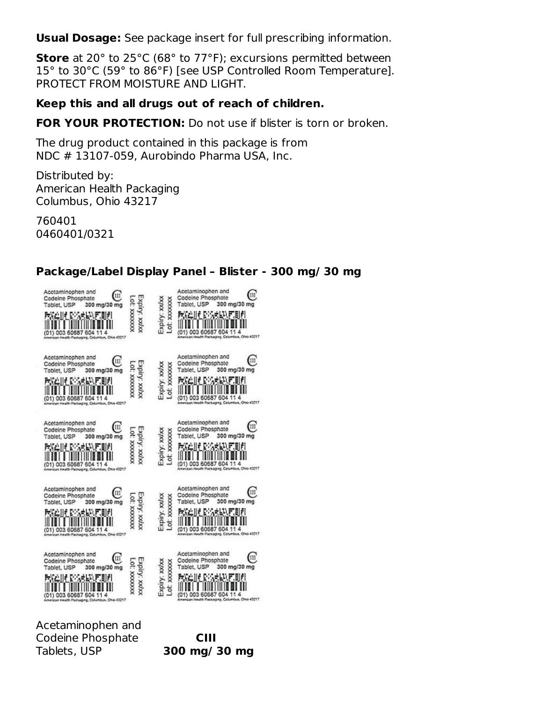**Usual Dosage:** See package insert for full prescribing information.

**Store** at 20° to 25°C (68° to 77°F); excursions permitted between 15° to 30°C (59° to 86°F) [see USP Controlled Room Temperature]. PROTECT FROM MOISTURE AND LIGHT.

#### **Keep this and all drugs out of reach of children.**

**FOR YOUR PROTECTION:** Do not use if blister is torn or broken.

The drug product contained in this package is from NDC # 13107-059, Aurobindo Pharma USA, Inc.

Distributed by: American Health Packaging Columbus, Ohio 43217

760401 0460401/0321

#### **Package/Label Display Panel – Blister - 300 mg/ 30 mg**

| Acetaminophen and<br>w<br>Codeine Phosphate<br>Tablet, USP<br>300 mg/30 mg<br>PACIN PACINT<br>E E E<br>(01) 003 60687 604 11 4<br>rican Health Packaging, Columbus, Ohio 43217      | <b>ROODCOOK</b><br>xoloy: xx/xx | XXXXXXX<br>Expiry: xxlxx<br>Lot | Acetaminophen and<br>Ш<br>Codeine Phosphate<br>Tablet, USP<br>300 mg/30 mg<br>医双产生的 医心房皮肤的 医周期<br>(01) 003 60687 604 11 4<br>American Health Packaging, Celumbus, Ohio 43217    |
|-------------------------------------------------------------------------------------------------------------------------------------------------------------------------------------|---------------------------------|---------------------------------|---------------------------------------------------------------------------------------------------------------------------------------------------------------------------------|
| Acetaminophen and<br>Ш<br>Codeine Phosphate<br>Tablet, USP<br>300 mg/30 mg<br>POSTED IN STORE OF THE<br>.er<br>(01) 003 60687 604 11 4<br>an Health Packaging, Columbus, Chio 43217 | 101. XXXXXXX<br>χόιη: χοίχα     | Expiry: xxlxx<br>Lot: xxxxxxx   | Acetaminophen and<br>щ<br>Codeine Phosphate<br>300 mg/30 mg<br>Tablet, USP<br>RAIN DISARAK HIJI<br>(01) 003 60687 604 11<br>an Health Packaging, Columbus, Ohio 43217           |
| Acetaminophen and<br>Ш<br>Codeine Phosphate<br>Tablet, USP<br>300 mg/30 mg<br>(01) 003 60687<br>11<br>60<br>American Health Packaging, Columbus, Ohio 43217                         | Expiry: xxlxx<br>XXXXXXXX :10   | Expiry: xx/xx<br>.ot: xxxxxxx   | Acetaminophen and<br>Ш<br>Codeine Phosphate<br>300 mg/30 mg<br>Tablet, USP<br>GALIF DISANDUFINIEL<br>(01) 003 60687 604 11 4<br>American Health Packaging, Columbus, Ohio 43217 |
| Acetaminophen and<br>Ш<br>Codeine Phosphate<br>Tablet, USP<br>300 mg/30 mg<br>velit B<br>114<br>(01) 003 60687 604<br>ican Health Packaging, Columbus, Chio 43217                   | EXPIN: XXVXX                    | Expiry: xxlxx<br>Lot: xxxxxxx   | Acetaminophen and<br>III<br>Codeine Phosphate<br>Tablet, USP<br>300 mg/30 mg<br>GAINE D'ARBADE<br>604 11 4<br>60687<br>Health Packaging, Columbus, Ohio 43217                   |
| Acetaminophen and<br>Ш<br>Codeine Phosphate<br>Tablet, USP<br>300 mg/30 mg<br>114<br>(01) 003 60687 604<br>American Health Packaging, Columbus, Chio 43217                          | :Xolry: Xolox<br>XXXXXXX 10     | Expiry: xxlxx<br>ot: xxxxxxx    | Acetaminophen and<br>Ш<br>Codeine Phosphate<br>Tablet, USP<br>300 mg/30 mg<br>(01) 003 60687<br>604<br>American Health Packaging, Columbus, ON6 43217                           |

Acetaminophen and Codeine Phosphate **CIII** Tablets, USP **300 mg/ 30 mg**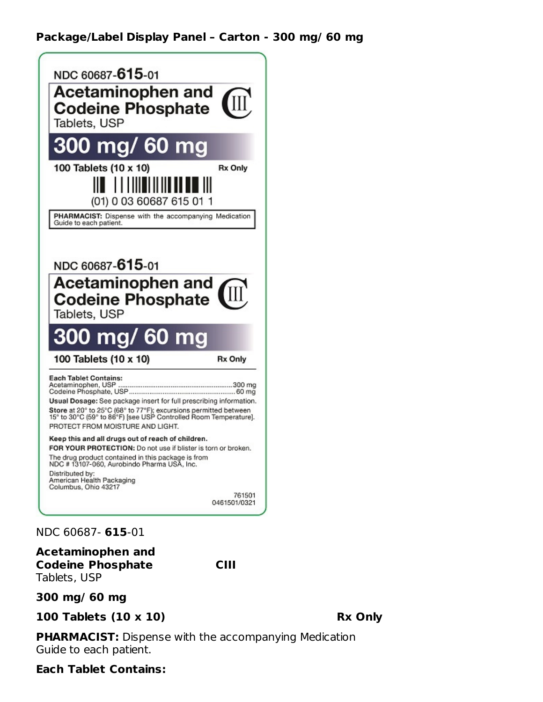### **Package/Label Display Panel – Carton - 300 mg/ 60 mg**



#### NDC 60687- **615**-01

**Acetaminophen and Codeine Phosphate CIII** Tablets, USP

**300 mg/ 60 mg**

**100 Tablets (10 x 10) Rx Only**

**PHARMACIST:** Dispense with the accompanying Medication Guide to each patient.

#### **Each Tablet Contains:**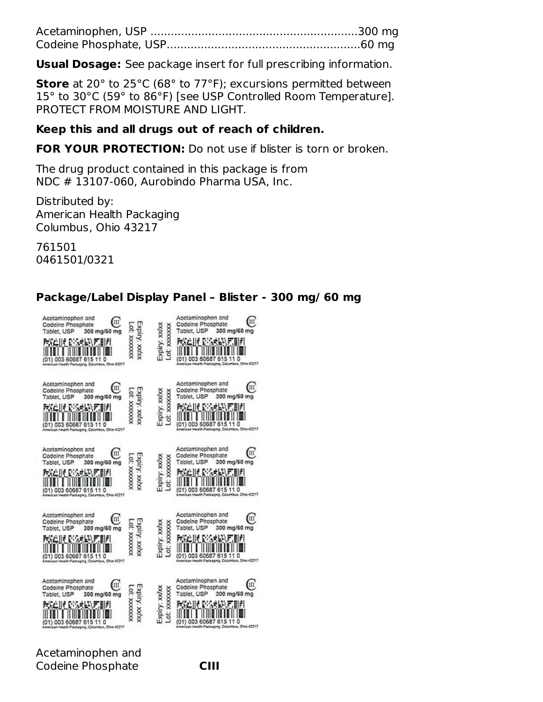**Usual Dosage:** See package insert for full prescribing information.

**Store** at 20° to 25°C (68° to 77°F); excursions permitted between 15° to 30°C (59° to 86°F) [see USP Controlled Room Temperature]. PROTECT FROM MOISTURE AND LIGHT.

#### **Keep this and all drugs out of reach of children.**

**FOR YOUR PROTECTION:** Do not use if blister is torn or broken.

The drug product contained in this package is from NDC # 13107-060, Aurobindo Pharma USA, Inc.

Distributed by: American Health Packaging Columbus, Ohio 43217

761501 0461501/0321

| Acetaminophen and<br>Ш<br>Codeine Phosphate<br>Tablet, USP<br>300 mg/60 mg<br>医脱血性 网络皮肤状的细胞<br>(01) 003 60687 615 11 0<br>American Health Packaging, Columbus, Ohio 43217            | Expiry: XXVXX<br>XXXXXXXX :10 | Expiry: xxixx<br>Lot: xxxxxxx | Acetaminophen and<br>Ш<br>Codeine Phosphate<br>Tablet, USP<br>300 mg/60 mg<br>æ<br>(01) 003 60687 615 11 0<br>American Health Packaging, Columbus, Ohio 43217          |
|--------------------------------------------------------------------------------------------------------------------------------------------------------------------------------------|-------------------------------|-------------------------------|------------------------------------------------------------------------------------------------------------------------------------------------------------------------|
| Acetaminophen and<br>Щ<br>Codeine Phosphate<br>Tablet, USP<br>300 mg/60 mg<br>.uri<br><b>PARTIE</b><br>(01) 003 60687<br>615 11 0<br>American Health Packaging, Columbus, Ohio 43217 | Xolry: Xolox<br>00000000      | Expiry: xx/xx<br>Lot: xxxxxx  | Acetaminophen and<br>Ш<br>Codeine Phosphate<br>Tablet, USP<br>300 mg/60 mg<br><b>COLLE</b><br>(01) 003 606<br>6<br>110<br>Ican Health Packaging, Columbus, Ohio 43217  |
| Acetaminophen and<br>Ш<br>Codeine Phosphate<br>300 mg/60 mg<br>Tablet, USP<br>(01) 003 60687 615 11 0<br>American Health Packaging, Columbus, Ohio 43217                             | xxyxx : Audx                  | Expiry: xx/xx<br>Lot: xxxxxxx | Acetaminophen and<br>Ш<br>Codeine Phosphate<br>Tablet, USP<br>300 mg/60 mg<br>110<br>(01) 003 60687<br>615<br>American Health Packaging, Columbus, Ohio 43217          |
| Acetaminophen and<br>ш<br>Codeine Phosphate<br>Tablet, USP<br>300 mg/60 mg<br><b>1999</b><br>(01) 003 60687<br>615 11 0<br>American Health Packaging, Columbus, Ohio 43217           | χόιτχ χάλος                   | Expiry: xxlxx<br>LOL: XXXXXXX | Acetaminophen and<br>ш<br>Codeine Phosphate<br>Tablet, USP<br>300 mg/60 mg<br>$-11$<br>(01) 003 60687<br>615<br>110<br>American Health Packaging, Columbus, Ohio 43217 |
| Acetaminophen and<br>ш<br>Codeine Phosphate<br>Tablet, USP<br>300 mg/60 mg<br>(01) 003 60687 615 11 0<br>American Health Packaging, Columbus, Ohio 43217                             | Expiry: xx/xx<br>XXXXXXXXX    | Expiry: xxvx<br>Lot: xxxxxx   | Acetaminophen and<br>ш<br>Codeine Phosphate<br>Tablet, USP<br>300 mg/60 mg<br>(01) 003 60687 615<br>11<br>o<br>American Health Packaging, Columbus, Ohio 43217         |

**Package/Label Display Panel – Blister - 300 mg/ 60 mg**

Acetaminophen and Codeine Phosphate **CIII**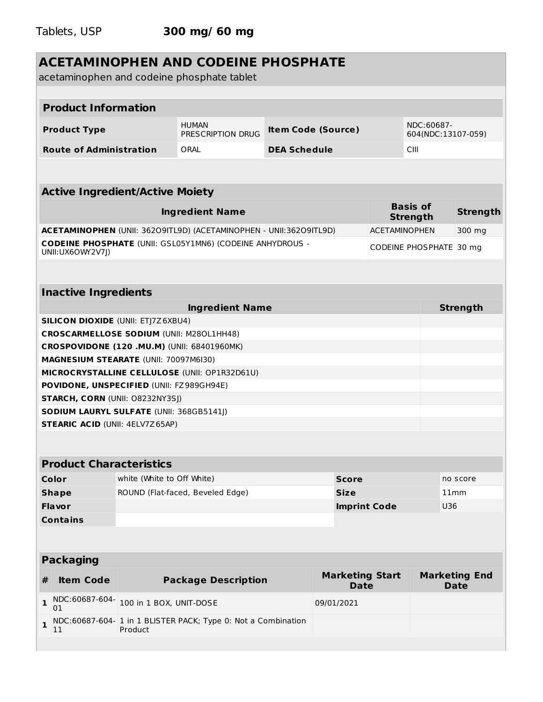|                                                 |                            | <b>ACETAMINOPHEN AND CODEINE PHOSPHATE</b><br>acetaminophen and codeine phosphate tablet |                     |                                       |                      |                                    |                                     |
|-------------------------------------------------|----------------------------|------------------------------------------------------------------------------------------|---------------------|---------------------------------------|----------------------|------------------------------------|-------------------------------------|
|                                                 |                            |                                                                                          |                     |                                       |                      |                                    |                                     |
| <b>Product Information</b>                      |                            |                                                                                          |                     |                                       |                      |                                    |                                     |
| <b>Product Type</b>                             |                            | <b>HUMAN</b><br>PRESCRIPTION DRUG                                                        |                     | <b>Item Code (Source)</b>             |                      | NDC:60687-<br>604(NDC:13107-059)   |                                     |
| <b>Route of Administration</b>                  |                            | ORAL                                                                                     | <b>DEA Schedule</b> |                                       |                      | CIII                               |                                     |
|                                                 |                            |                                                                                          |                     |                                       |                      |                                    |                                     |
| <b>Active Ingredient/Active Moiety</b>          |                            |                                                                                          |                     |                                       |                      |                                    |                                     |
|                                                 |                            | <b>Ingredient Name</b>                                                                   |                     |                                       |                      | <b>Basis of</b><br><b>Strength</b> | <b>Strength</b>                     |
|                                                 |                            | ACETAMINOPHEN (UNII: 36209ITL9D) (ACETAMINOPHEN - UNII:36209ITL9D)                       |                     |                                       | <b>ACETAMINOPHEN</b> |                                    | 300 mg                              |
| UNII:UX6OWY2V7J)                                |                            | <b>CODEINE PHOSPHATE (UNII: GSL05Y1MN6) (CODEINE ANHYDROUS -</b>                         |                     |                                       |                      | CODEINE PHOSPHATE 30 mg            |                                     |
|                                                 |                            |                                                                                          |                     |                                       |                      |                                    |                                     |
| <b>Inactive Ingredients</b>                     |                            |                                                                                          |                     |                                       |                      |                                    |                                     |
|                                                 |                            | <b>Ingredient Name</b>                                                                   |                     |                                       |                      |                                    | <b>Strength</b>                     |
| <b>SILICON DIOXIDE (UNII: ETJ7Z6XBU4)</b>       |                            |                                                                                          |                     |                                       |                      |                                    |                                     |
| <b>CROSCARMELLOSE SODIUM (UNII: M280L1HH48)</b> |                            |                                                                                          |                     |                                       |                      |                                    |                                     |
| CROSPOVIDONE (120 .MU.M) (UNII: 68401960MK)     |                            |                                                                                          |                     |                                       |                      |                                    |                                     |
| <b>MAGNESIUM STEARATE (UNII: 70097M6I30)</b>    |                            |                                                                                          |                     |                                       |                      |                                    |                                     |
|                                                 |                            | MICROCRYSTALLINE CELLULOSE (UNII: OP1R32D61U)                                            |                     |                                       |                      |                                    |                                     |
| POVIDONE, UNSPECIFIED (UNII: FZ989GH94E)        |                            |                                                                                          |                     |                                       |                      |                                    |                                     |
| <b>STARCH, CORN (UNII: O8232NY3SJ)</b>          |                            |                                                                                          |                     |                                       |                      |                                    |                                     |
| SODIUM LAURYL SULFATE (UNII: 368GB5141J)        |                            |                                                                                          |                     |                                       |                      |                                    |                                     |
| <b>STEARIC ACID (UNII: 4ELV7Z65AP)</b>          |                            |                                                                                          |                     |                                       |                      |                                    |                                     |
|                                                 |                            |                                                                                          |                     |                                       |                      |                                    |                                     |
| <b>Product Characteristics</b>                  |                            |                                                                                          |                     |                                       |                      |                                    |                                     |
| Color                                           | white (White to Off White) |                                                                                          |                     | <b>Score</b>                          |                      |                                    | no score                            |
| <b>Shape</b>                                    |                            | ROUND (Flat-faced, Beveled Edge)                                                         |                     | <b>Size</b>                           |                      |                                    | 11mm                                |
| <b>Flavor</b>                                   |                            |                                                                                          |                     | <b>Imprint Code</b>                   |                      | U36                                |                                     |
| <b>Contains</b>                                 |                            |                                                                                          |                     |                                       |                      |                                    |                                     |
|                                                 |                            |                                                                                          |                     |                                       |                      |                                    |                                     |
| <b>Packaging</b>                                |                            |                                                                                          |                     |                                       |                      |                                    |                                     |
| <b>Item Code</b><br>#                           |                            | <b>Package Description</b>                                                               |                     | <b>Marketing Start</b><br><b>Date</b> |                      |                                    | <b>Marketing End</b><br><b>Date</b> |
| NDC:60687-604-<br>$\mathbf{1}$<br>01            | 100 in 1 BOX, UNIT-DOSE    |                                                                                          |                     | 09/01/2021                            |                      |                                    |                                     |
| $\mathbf{1}$<br>11                              | Product                    | NDC:60687-604- 1 in 1 BLISTER PACK; Type 0: Not a Combination                            |                     |                                       |                      |                                    |                                     |
|                                                 |                            |                                                                                          |                     |                                       |                      |                                    |                                     |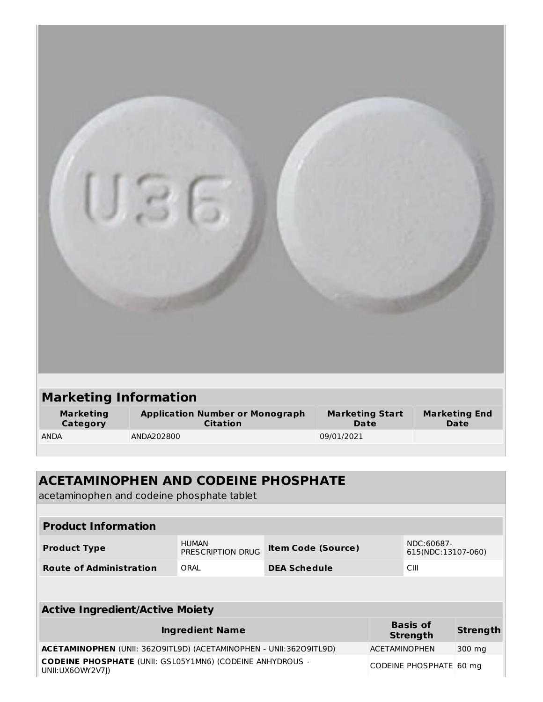| <b>Marketing Information</b> |                                                     |                                |                              |  |  |
|------------------------------|-----------------------------------------------------|--------------------------------|------------------------------|--|--|
| <b>Marketing</b><br>Category | <b>Application Number or Monograph<br/>Citation</b> | <b>Marketing Start</b><br>Date | <b>Marketing End</b><br>Date |  |  |
| <b>ANDA</b>                  | ANDA202800                                          | 09/01/2021                     |                              |  |  |

| <b>ACETAMINOPHEN AND CODEINE PHOSPHATE</b><br>acetaminophen and codeine phosphate tablet |                                     |                           |  |                                  |                 |
|------------------------------------------------------------------------------------------|-------------------------------------|---------------------------|--|----------------------------------|-----------------|
|                                                                                          |                                     |                           |  |                                  |                 |
| <b>Product Information</b>                                                               |                                     |                           |  |                                  |                 |
| <b>Product Type</b>                                                                      | <b>HUMAN</b><br>PRESCRIPTION DRUG   | <b>Item Code (Source)</b> |  | NDC:60687-<br>615(NDC:13107-060) |                 |
| <b>Route of Administration</b>                                                           | CIII<br>ORAL<br><b>DEA Schedule</b> |                           |  |                                  |                 |
|                                                                                          |                                     |                           |  |                                  |                 |
| <b>Active Ingredient/Active Moiety</b>                                                   |                                     |                           |  |                                  |                 |
| <b>Basis of</b><br><b>Ingredient Name</b><br><b>Strength</b>                             |                                     |                           |  |                                  | <b>Strength</b> |
| <b>ACETAMINOPHEN</b> (UNII: 36209ITL9D) (ACETAMINOPHEN - UNII:36209ITL9D)                |                                     |                           |  | <b>ACETAMINOPHEN</b>             | 300 mg          |
| <b>CODEINE PHOSPHATE (UNII: GSL05Y1MN6) (CODEINE ANHYDROUS -</b><br>UNII:UX6OWY2V7I)     |                                     |                           |  | CODEINE PHOSPHATE 60 mg          |                 |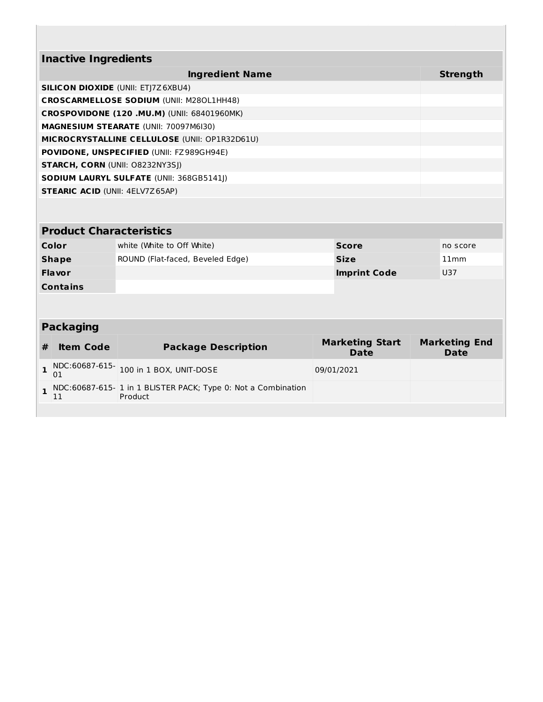| <b>Inactive Ingredients</b>               |                                                                         |  |                                       |  |                                     |  |
|-------------------------------------------|-------------------------------------------------------------------------|--|---------------------------------------|--|-------------------------------------|--|
|                                           | <b>Ingredient Name</b>                                                  |  |                                       |  | <b>Strength</b>                     |  |
| <b>SILICON DIOXIDE (UNII: ETJ7Z6XBU4)</b> |                                                                         |  |                                       |  |                                     |  |
|                                           | <b>CROSCARMELLOSE SODIUM (UNII: M280L1HH48)</b>                         |  |                                       |  |                                     |  |
|                                           | <b>CROSPOVIDONE (120 .MU.M) (UNII: 68401960MK)</b>                      |  |                                       |  |                                     |  |
|                                           | MAGNESIUM STEARATE (UNII: 70097M6I30)                                   |  |                                       |  |                                     |  |
|                                           | MICROCRYSTALLINE CELLULOSE (UNII: OP1R32D61U)                           |  |                                       |  |                                     |  |
|                                           | POVIDONE, UNSPECIFIED (UNII: FZ989GH94E)                                |  |                                       |  |                                     |  |
| <b>STARCH, CORN (UNII: O8232NY3SJ)</b>    |                                                                         |  |                                       |  |                                     |  |
|                                           | <b>SODIUM LAURYL SULFATE (UNII: 368GB5141))</b>                         |  |                                       |  |                                     |  |
| <b>STEARIC ACID (UNII: 4ELV7Z65AP)</b>    |                                                                         |  |                                       |  |                                     |  |
| <b>Product Characteristics</b>            |                                                                         |  |                                       |  |                                     |  |
| <b>Color</b>                              |                                                                         |  | <b>Score</b>                          |  | no score                            |  |
| <b>Shape</b>                              | white (White to Off White)                                              |  | <b>Size</b>                           |  | 11mm                                |  |
| <b>Flavor</b>                             | ROUND (Flat-faced, Beveled Edge)                                        |  |                                       |  | <b>U37</b>                          |  |
| <b>Contains</b>                           | <b>Imprint Code</b>                                                     |  |                                       |  |                                     |  |
|                                           |                                                                         |  |                                       |  |                                     |  |
|                                           |                                                                         |  |                                       |  |                                     |  |
| <b>Packaging</b>                          |                                                                         |  |                                       |  |                                     |  |
| <b>Item Code</b><br>#                     | <b>Package Description</b>                                              |  | <b>Marketing Start</b><br><b>Date</b> |  | <b>Marketing End</b><br><b>Date</b> |  |
| NDC:60687-615-<br>$\mathbf{1}$<br>01      | 100 in 1 BOX, UNIT-DOSE                                                 |  | 09/01/2021                            |  |                                     |  |
| $\mathbf{1}$<br>11                        | NDC:60687-615-1 in 1 BLISTER PACK; Type 0: Not a Combination<br>Product |  |                                       |  |                                     |  |